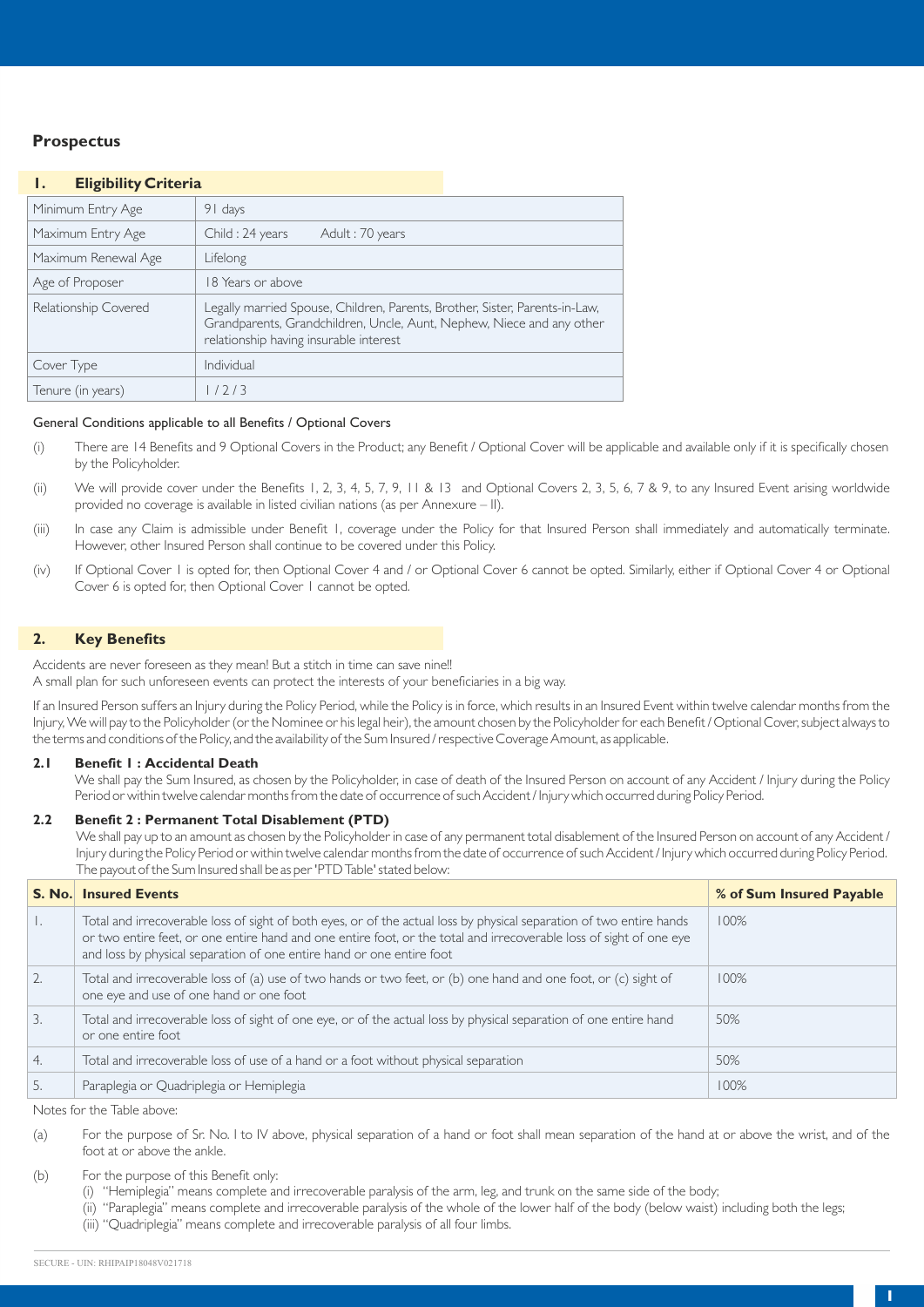# **Prospectus**

# **1. Eligibility Criteria**

| Minimum Entry Age    | 91 days                                                                                                                                                                                        |
|----------------------|------------------------------------------------------------------------------------------------------------------------------------------------------------------------------------------------|
| Maximum Entry Age    | Child: 24 years<br>Adult: 70 years                                                                                                                                                             |
| Maximum Renewal Age  | Lifelong                                                                                                                                                                                       |
| Age of Proposer      | 18 Years or above                                                                                                                                                                              |
| Relationship Covered | Legally married Spouse, Children, Parents, Brother, Sister, Parents-in-Law,<br>Grandparents, Grandchildren, Uncle, Aunt, Nephew, Niece and any other<br>relationship having insurable interest |
| Cover Type           | Individual                                                                                                                                                                                     |
| Tenure (in years)    | 1/2/3                                                                                                                                                                                          |

# General Conditions applicable to all Benefits / Optional Covers

- (i) There are 14 Benefits and 9 Optional Covers in the Product; any Benefit / Optional Cover will be applicable and available only if it is specifically chosen by the Policyholder.
- (ii) We will provide cover under the Benefits 1, 2, 3, 4, 5, 7, 9, 11 & 13 and Optional Covers 2, 3, 5, 6, 7 & 9, to any Insured Event arising worldwide provided no coverage is available in listed civilian nations (as per Annexure – II).
- (iii) In case any Claim is admissible under Benefit 1, coverage under the Policy for that Insured Person shall immediately and automatically terminate. However, other Insured Person shall continue to be covered under this Policy.
- (iv) If Optional Cover 1 is opted for, then Optional Cover 4 and / or Optional Cover 6 cannot be opted. Similarly, either if Optional Cover 4 or Optional Cover 6 is opted for, then Optional Cover 1 cannot be opted.

# **2. Key Benefits**

Accidents are never foreseen as they mean! But a stitch in time can save nine!!

A small plan for such unforeseen events can protect the interests of your beneficiaries in a big way.

If an Insured Person suffers an Injury during the Policy Period, while the Policy is in force, which results in an Insured Event within twelve calendar months from the Injury, We will pay to the Policyholder (or the Nominee or his legal heir), the amount chosen by the Policyholder for each Benefit / Optional Cover, subject always to the terms and conditions of the Policy, and the availability of the Sum Insured / respective Coverage Amount, as applicable.

#### **2.1 Benefit 1 : Accidental Death**

We shall pay the Sum Insured, as chosen by the Policyholder, in case of death of the Insured Person on account of any Accident / Injury during the Policy Period or within twelve calendar months from the date of occurrence of such Accident / Injury which occurred during Policy Period.

#### **2.2 Benefit 2 : Permanent Total Disablement (PTD)**

We shall pay up to an amount as chosen by the Policyholder in case of any permanent total disablement of the Insured Person on account of any Accident / Injury during the Policy Period or within twelve calendar months from the date of occurrence of such Accident / Injury which occurred during Policy Period. The payout of the Sum Insured shall be as per 'PTD Table' stated below:

|                  | <b>S. No. Insured Events</b>                                                                                                                                                                                                                                                                                         | % of Sum Insured Payable |
|------------------|----------------------------------------------------------------------------------------------------------------------------------------------------------------------------------------------------------------------------------------------------------------------------------------------------------------------|--------------------------|
| $\mathbf{L}$     | Total and irrecoverable loss of sight of both eyes, or of the actual loss by physical separation of two entire hands<br>or two entire feet, or one entire hand and one entire foot, or the total and irrecoverable loss of sight of one eye<br>and loss by physical separation of one entire hand or one entire foot | 100%                     |
| 2.               | Total and irrecoverable loss of (a) use of two hands or two feet, or (b) one hand and one foot, or (c) sight of<br>one eye and use of one hand or one foot                                                                                                                                                           | 100%                     |
| $\overline{3}$ . | Total and irrecoverable loss of sight of one eye, or of the actual loss by physical separation of one entire hand<br>or one entire foot                                                                                                                                                                              | 50%                      |
| 4.               | Total and irrecoverable loss of use of a hand or a foot without physical separation                                                                                                                                                                                                                                  | 50%                      |
| -5.              | Paraplegia or Quadriplegia or Hemiplegia                                                                                                                                                                                                                                                                             | 100%                     |

Notes for the Table above:

- (a) For the purpose of Sr. No. I to IV above, physical separation of a hand or foot shall mean separation of the hand at or above the wrist, and of the foot at or above the ankle.
- (b) For the purpose of this Benefit only:
	- (i) "Hemiplegia" means complete and irrecoverable paralysis of the arm, leg, and trunk on the same side of the body;
	- (ii) "Paraplegia" means complete and irrecoverable paralysis of the whole of the lower half of the body (below waist) including both the legs;
	- (iii) "Quadriplegia" means complete and irrecoverable paralysis of all four limbs.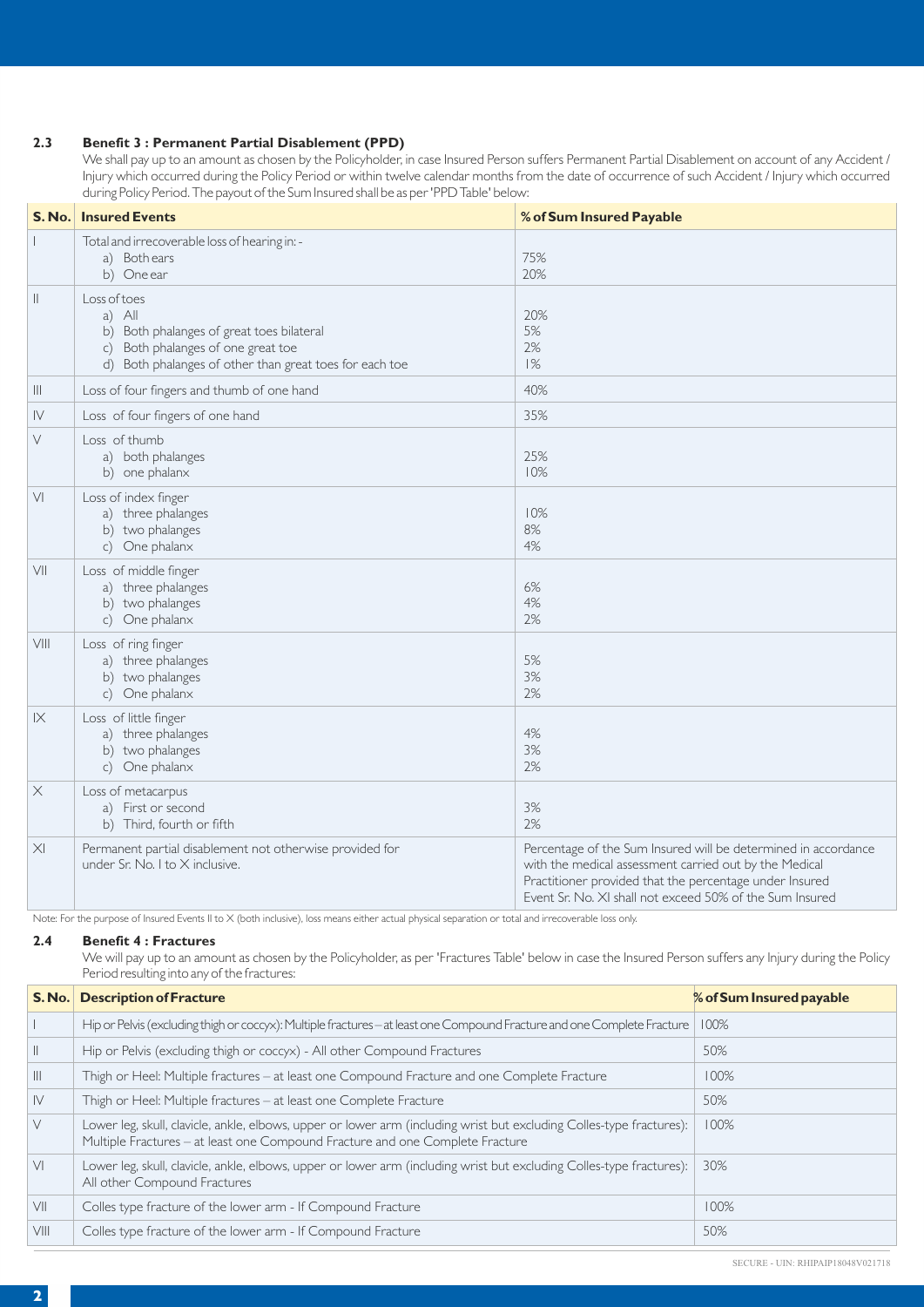# **2.3 Benefit 3 : Permanent Partial Disablement (PPD)**

We shall pay up to an amount as chosen by the Policyholder, in case Insured Person suffers Permanent Partial Disablement on account of any Accident / Injury which occurred during the Policy Period or within twelve calendar months from the date of occurrence of such Accident / Injury which occurred during Policy Period. The payout of the Sum Insured shall be as per 'PPD Table' below:

|                        | <b>S. No.</b> Insured Events                                                                                                                                         | % of Sum Insured Payable                                                                                                                                                                                                                        |
|------------------------|----------------------------------------------------------------------------------------------------------------------------------------------------------------------|-------------------------------------------------------------------------------------------------------------------------------------------------------------------------------------------------------------------------------------------------|
|                        | Total and irrecoverable loss of hearing in: -<br>a) Both ears<br>b) One ear                                                                                          | 75%<br>20%                                                                                                                                                                                                                                      |
| $\parallel$            | Loss of toes<br>a) All<br>b) Both phalanges of great toes bilateral<br>c) Both phalanges of one great toe<br>d) Both phalanges of other than great toes for each toe | 20%<br>5%<br>2%<br>1%                                                                                                                                                                                                                           |
| Ш                      | Loss of four fingers and thumb of one hand                                                                                                                           | 40%                                                                                                                                                                                                                                             |
| ${\sf IV}$             | Loss of four fingers of one hand                                                                                                                                     | 35%                                                                                                                                                                                                                                             |
| V                      | Loss of thumb<br>a) both phalanges<br>b) one phalanx                                                                                                                 | 25%<br>10%                                                                                                                                                                                                                                      |
| V <sub>1</sub>         | Loss of index finger<br>a) three phalanges<br>b) two phalanges<br>c) One phalanx                                                                                     | 10%<br>8%<br>4%                                                                                                                                                                                                                                 |
| VII                    | Loss of middle finger<br>a) three phalanges<br>b) two phalanges<br>c) One phalanx                                                                                    | 6%<br>4%<br>2%                                                                                                                                                                                                                                  |
| $\vee$ $\parallel$     | Loss of ring finger<br>a) three phalanges<br>b) two phalanges<br>c) One phalanx                                                                                      | 5%<br>3%<br>2%                                                                                                                                                                                                                                  |
| $\mathsf{I}\mathsf{X}$ | Loss of little finger<br>a) three phalanges<br>b) two phalanges<br>c) One phalanx                                                                                    | 4%<br>3%<br>2%                                                                                                                                                                                                                                  |
| $\times$               | Loss of metacarpus<br>a) First or second<br>b) Third, fourth or fifth                                                                                                | 3%<br>2%                                                                                                                                                                                                                                        |
| $\times$               | Permanent partial disablement not otherwise provided for<br>under Sr. No. I to $\times$ inclusive.                                                                   | Percentage of the Sum Insured will be determined in accordance<br>with the medical assessment carried out by the Medical<br>Practitioner provided that the percentage under Insured<br>Event Sr. No. XI shall not exceed 50% of the Sum Insured |

Note: For the purpose of Insured Events II to X (both inclusive), loss means either actual physical separation or total and irrecoverable loss only.

# **2.4 Benefit 4 : Fractures**

We will pay up to an amount as chosen by the Policyholder, as per 'Fractures Table' below in case the Insured Person suffers any Injury during the Policy Period resulting into any of the fractures:

| S. No.         | <b>Description of Fracture</b>                                                                                                                                                                        | % of Sum Insured payable |
|----------------|-------------------------------------------------------------------------------------------------------------------------------------------------------------------------------------------------------|--------------------------|
|                | Hip or Pelvis (excluding thigh or coccyx): Multiple fractures - at least one Compound Fracture and one Complete Fracture                                                                              | 100%                     |
| H              | Hip or Pelvis (excluding thigh or coccyx) - All other Compound Fractures                                                                                                                              | 50%                      |
| $\mathbb{H}$   | Thigh or Heel: Multiple fractures - at least one Compound Fracture and one Complete Fracture                                                                                                          | 100%                     |
| IV             | Thigh or Heel: Multiple fractures – at least one Complete Fracture                                                                                                                                    | 50%                      |
| $\vee$         | Lower leg, skull, clavicle, ankle, elbows, upper or lower arm (including wrist but excluding Colles-type fractures):<br>Multiple Fractures - at least one Compound Fracture and one Complete Fracture | 100%                     |
| V <sub>1</sub> | Lower leg, skull, clavicle, ankle, elbows, upper or lower arm (including wrist but excluding Colles-type fractures):<br>All other Compound Fractures                                                  | 30%                      |
| VII            | Colles type fracture of the lower arm - If Compound Fracture                                                                                                                                          | 100%                     |
| VIII           | Colles type fracture of the lower arm - If Compound Fracture                                                                                                                                          | 50%                      |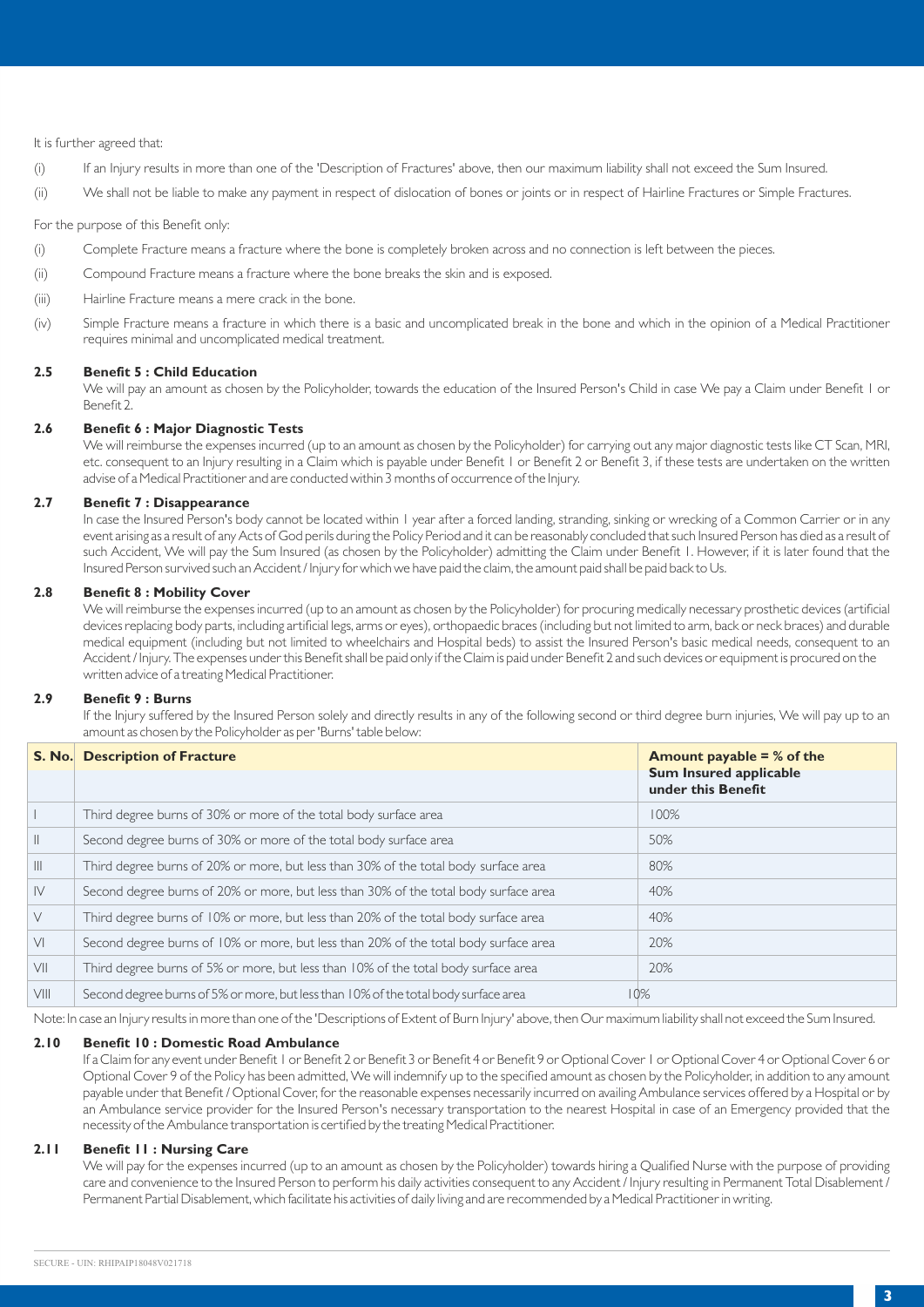# It is further agreed that:

- (i) If an Injury results in more than one of the 'Description of Fractures' above, then our maximum liability shall not exceed the Sum Insured.
- (ii) We shall not be liable to make any payment in respect of dislocation of bones or joints or in respect of Hairline Fractures or Simple Fractures.

For the purpose of this Benefit only:

- (i) Complete Fracture means a fracture where the bone is completely broken across and no connection is left between the pieces.
- (ii) Compound Fracture means a fracture where the bone breaks the skin and is exposed.
- (iii) Hairline Fracture means a mere crack in the bone.
- (iv) Simple Fracture means a fracture in which there is a basic and uncomplicated break in the bone and which in the opinion of a Medical Practitioner requires minimal and uncomplicated medical treatment.

# **2.5 Benefit 5 : Child Education**

We will pay an amount as chosen by the Policyholder, towards the education of the Insured Person's Child in case We pay a Claim under Benefit 1 or Benefit 2.

# **2.6 Benefit 6 : Major Diagnostic Tests**

We will reimburse the expenses incurred (up to an amount as chosen by the Policyholder) for carrying out any major diagnostic tests like CT Scan, MRI, etc. consequent to an Injury resulting in a Claim which is payable under Benefit 1 or Benefit 2 or Benefit 3, if these tests are undertaken on the written advise of a Medical Practitioner and are conducted within 3 months of occurrence of the Injury.

# **2.7 Benefit 7 : Disappearance**

In case the Insured Person's body cannot be located within I year after a forced landing, stranding, sinking or wrecking of a Common Carrier or in any event arising as a result of any Acts of God perils during the Policy Period and it can be reasonably concluded that such Insured Person has died as a result of such Accident, We will pay the Sum Insured (as chosen by the Policyholder) admitting the Claim under Benefit I. However, if it is later found that the Insured Person survived such an Accident / Injury for which we have paid the claim, the amount paid shall be paid back to Us.

# **2.8 Benefit 8 : Mobility Cover**

We will reimburse the expenses incurred (up to an amount as chosen by the Policyholder) for procuring medically necessary prosthetic devices (artificial devices replacing body parts, including artificial legs, arms or eyes), orthopaedic braces (including but not limited to arm, back or neck braces) and durable medical equipment (including but not limited to wheelchairs and Hospital beds) to assist the Insured Person's basic medical needs, consequent to an Accident / Injury. The expenses under this Benefit shall be paid only if the Claim is paid under Benefit 2 and such devices or equipment is procured on the written advice of a treating Medical Practitioner.

# **2.9 Benefit 9 : Burns**

If the Injury suffered by the Insured Person solely and directly results in any of the following second or third degree burn injuries, We will pay up to an amount as chosen by the Policyholder as per 'Burns' table below:

| <b>S. No.</b>  | <b>Description of Fracture</b>                                                       | Amount payable $=$ % of the                         |
|----------------|--------------------------------------------------------------------------------------|-----------------------------------------------------|
|                |                                                                                      | <b>Sum Insured applicable</b><br>under this Benefit |
|                | Third degree burns of 30% or more of the total body surface area                     | 100%                                                |
|                | Second degree burns of 30% or more of the total body surface area                    | 50%                                                 |
| $\mathbb{H}$   | Third degree burns of 20% or more, but less than 30% of the total body surface area  | 80%                                                 |
| $\mathsf{IV}$  | Second degree burns of 20% or more, but less than 30% of the total body surface area | 40%                                                 |
| $\vee$         | Third degree burns of 10% or more, but less than 20% of the total body surface area  | 40%                                                 |
| V <sub>1</sub> | Second degree burns of 10% or more, but less than 20% of the total body surface area | 20%                                                 |
| VII            | Third degree burns of 5% or more, but less than 10% of the total body surface area   | 20%                                                 |
| VIII           | Second degree burns of 5% or more, but less than 10% of the total body surface area  | $10\%$                                              |

Note: In case an Injury results in more than one of the 'Descriptions of Extent of Burn Injury' above, then Our maximum liability shall not exceed the Sum Insured.

#### **2.10 Benefit 10 : Domestic Road Ambulance**

If a Claim for any event under Benefit 1 or Benefit 2 or Benefit 3 or Benefit 4 or Benefit 9 or Optional Cover 1 or Optional Cover 4 or Optional Cover 6 or Optional Cover 9 of the Policy has been admitted, We will indemnify up to the specified amount as chosen by the Policyholder, in addition to any amount payable under that Benefit / Optional Cover, for the reasonable expenses necessarily incurred on availing Ambulance services offered by a Hospital or by an Ambulance service provider for the Insured Person's necessary transportation to the nearest Hospital in case of an Emergency provided that the necessity of the Ambulance transportation is certified by the treating Medical Practitioner.

# **2.11 Benefit 11 : Nursing Care**

We will pay for the expenses incurred (up to an amount as chosen by the Policyholder) towards hiring a Qualified Nurse with the purpose of providing care and convenience to the Insured Person to perform his daily activities consequent to any Accident / Injury resulting in Permanent Total Disablement / Permanent Partial Disablement, which facilitate his activities of daily living and are recommended by a Medical Practitioner in writing.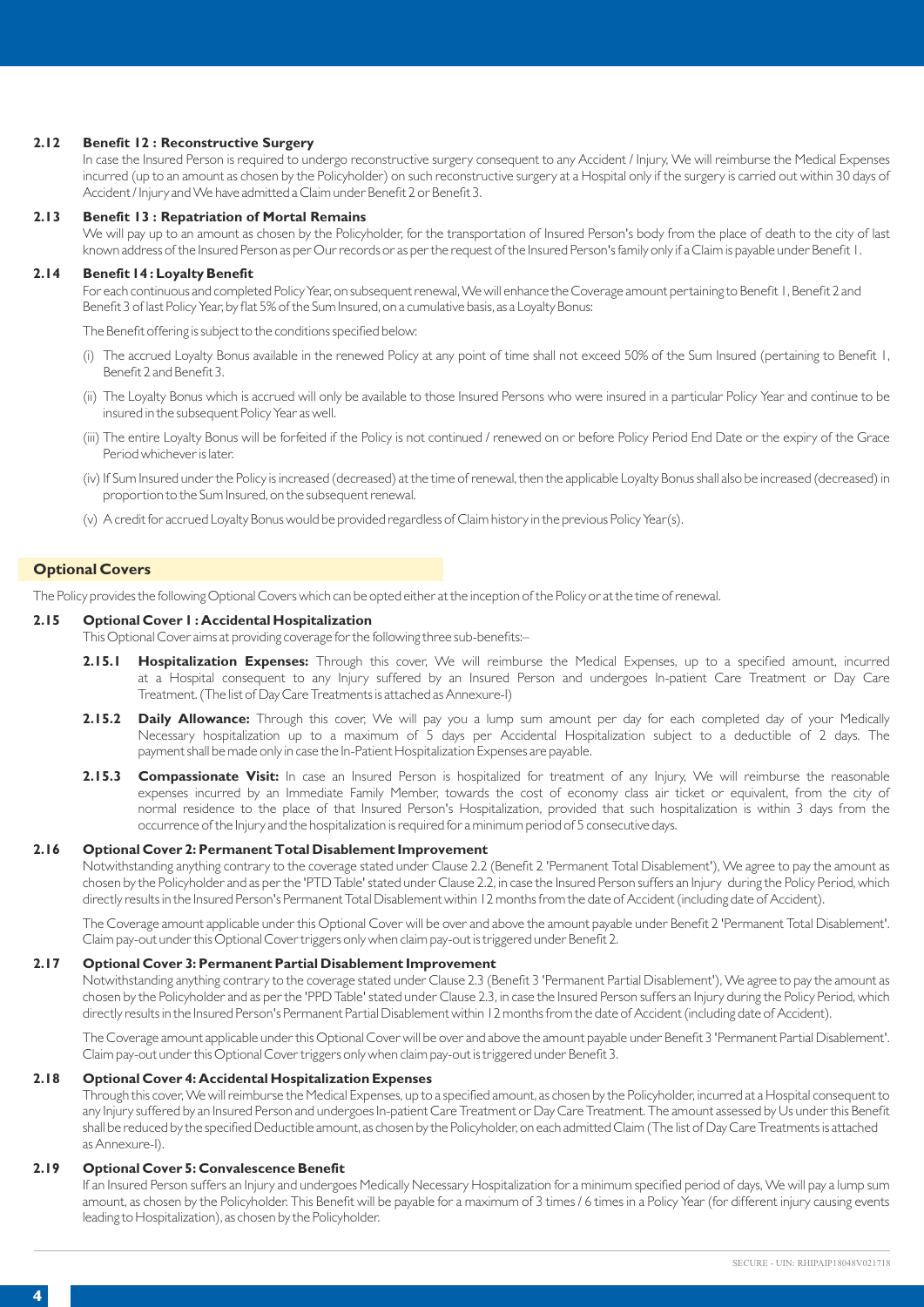# **2.12 Benefit 12 : Reconstructive Surgery**

In case the Insured Person is required to undergo reconstructive surgery consequent to any Accident / Injury, We will reimburse the Medical Expenses incurred (up to an amount as chosen by the Policyholder) on such reconstructive surgery at a Hospital only if the surgery is carried out within 30 days of Accident / Injury and We have admitted a Claim under Benefit 2 or Benefit 3.

# **2.13 Benefit 13 : Repatriation of Mortal Remains**

We will pay up to an amount as chosen by the Policyholder, for the transportation of Insured Person's body from the place of death to the city of last known address of the Insured Person as per Our records or as per the request of the Insured Person's family only if a Claim is payable under Benefit 1.

#### **2.14 Benefit 14 : Loyalty Benefit**

For each continuous and completed Policy Year, on subsequent renewal, We will enhance the Coverage amount pertaining to Benefit 1, Benefit 2 and Benefit 3 of last Policy Year, by flat 5% of the Sum Insured, on a cumulative basis, as a Loyalty Bonus:

The Benefit offering is subject to the conditions specified below:

- (i) The accrued Loyalty Bonus available in the renewed Policy at any point of time shall not exceed 50% of the Sum Insured (pertaining to Benefit 1, Benefit 2 and Benefit 3.
- (ii) The Loyalty Bonus which is accrued will only be available to those Insured Persons who were insured in a particular Policy Year and continue to be insured in the subsequent Policy Year as well.
- (iii) The entire Loyalty Bonus will be forfeited if the Policy is not continued / renewed on or before Policy Period End Date or the expiry of the Grace Period whichever is later.
- (iv) If Sum Insured under the Policy is increased (decreased) at the time of renewal, then the applicable Loyalty Bonus shall also be increased (decreased) in proportion to the Sum Insured, on the subsequent renewal.
- (v) A credit for accrued Loyalty Bonus would be provided regardless of Claim history in the previous Policy Year(s).

# **Optional Covers**

The Policy provides the following Optional Covers which can be opted either at the inception of the Policy or at the time of renewal.

#### **2.15 Optional Cover 1 : Accidental Hospitalization**

This Optional Cover aims at providing coverage for the following three sub-benefits:–

- **2.15.1 Hospitalization Expenses:** Through this cover, We will reimburse the Medical Expenses, up to a specified amount, incurred at a Hospital consequent to any Injury suffered by an Insured Person and undergoes In-patient Care Treatment or Day Care Treatment. (The list of Day Care Treatments is attached as Annexure-I)
- **2.15.2 Daily Allowance:** Through this cover, We will pay you a lump sum amount per day for each completed day of your Medically Necessary hospitalization up to a maximum of 5 days per Accidental Hospitalization subject to a deductible of 2 days. The payment shall be made only in case the In-Patient Hospitalization Expenses are payable.
- **2.15.3 Compassionate Visit:** In case an Insured Person is hospitalized for treatment of any Injury, We will reimburse the reasonable expenses incurred by an Immediate Family Member, towards the cost of economy class air ticket or equivalent, from the city of normal residence to the place of that Insured Person's Hospitalization, provided that such hospitalization is within 3 days from the occurrence of the Injury and the hospitalization is required for a minimum period of 5 consecutive days.

# **2.16 Optional Cover 2: Permanent Total Disablement Improvement**

Notwithstanding anything contrary to the coverage stated under Clause 2.2 (Benefit 2 'Permanent Total Disablement'), We agree to pay the amount as chosen by the Policyholder and as per the 'PTD Table' stated under Clause 2.2, in case the Insured Person suffers an Injury during the Policy Period, which directly results in the Insured Person's Permanent Total Disablement within 12 months from the date of Accident (including date of Accident).

The Coverage amount applicable under this Optional Cover will be over and above the amount payable under Benefit 2 'Permanent Total Disablement'. Claim pay-out under this Optional Cover triggers only when claim pay-out is triggered under Benefit 2.

# **2.17 Optional Cover 3: Permanent Partial Disablement Improvement**

Notwithstanding anything contrary to the coverage stated under Clause 2.3 (Benefit 3 'Permanent Partial Disablement'), We agree to pay the amount as chosen by the Policyholder and as per the 'PPD Table' stated under Clause 2.3, in case the Insured Person suffers an Injury during the Policy Period, which directly results in the Insured Person's Permanent Partial Disablement within 12 months from the date of Accident (including date of Accident).

The Coverage amount applicable under this Optional Cover will be over and above the amount payable under Benefit 3 'Permanent Partial Disablement'. Claim pay-out under this Optional Cover triggers only when claim pay-out is triggered under Benefit 3.

# **2.18 Optional Cover 4: Accidental Hospitalization Expenses**

Through this cover, We will reimburse the Medical Expenses, up to a specified amount, as chosen by the Policyholder, incurred at a Hospital consequent to any Injury suffered by an Insured Person and undergoes In-patient Care Treatment or Day Care Treatment. The amount assessed by Us under this Benefit shall be reduced by the specified Deductible amount, as chosen by the Policyholder, on each admitted Claim (The list of Day Care Treatments is attached as Annexure-I).

# **2.19 Optional Cover 5: Convalescence Benefit**

If an Insured Person suffers an Injury and undergoes Medically Necessary Hospitalization for a minimum specified period of days, We will pay a lump sum amount, as chosen by the Policyholder. This Benefit will be payable for a maximum of 3 times / 6 times in a Policy Year (for different injury causing events leading to Hospitalization), as chosen by the Policyholder.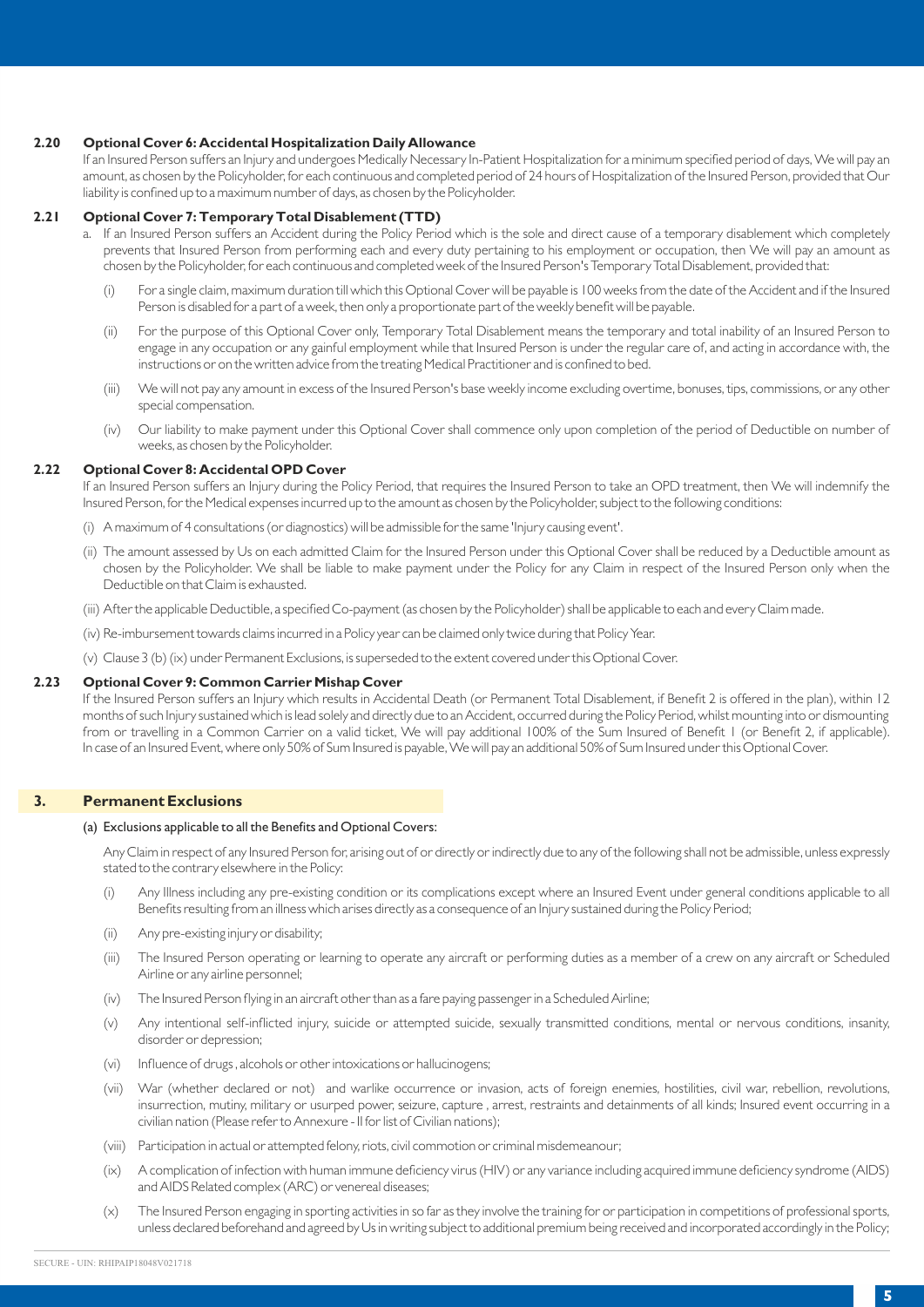# **2.20 Optional Cover 6: Accidental Hospitalization Daily Allowance**

If an Insured Person suffers an Injury and undergoes Medically Necessary In-Patient Hospitalization for a minimum specified period of days, We will pay an amount, as chosen by the Policyholder, for each continuous and completed period of 24 hours of Hospitalization of the Insured Person, provided that Our liability is confined up to a maximum number of days, as chosen by the Policyholder.

# **2.21 Optional Cover 7: Temporary Total Disablement (TTD)**

- a. If an Insured Person suffers an Accident during the Policy Period which is the sole and direct cause of a temporary disablement which completely prevents that Insured Person from performing each and every duty pertaining to his employment or occupation, then We will pay an amount as chosen by the Policyholder, for each continuous and completed week of the Insured Person's Temporary Total Disablement, provided that:
	- (i) For a single claim, maximum duration till which this Optional Cover will be payable is 100 weeks from the date of the Accident and if the Insured Person is disabled for a part of a week, then only a proportionate part of the weekly benefit will be payable.
	- (ii) For the purpose of this Optional Cover only, Temporary Total Disablement means the temporary and total inability of an Insured Person to engage in any occupation or any gainful employment while that Insured Person is under the regular care of, and acting in accordance with, the instructions or on the written advice from the treating Medical Practitioner and is confined to bed.
	- (iii) We will not pay any amount in excess of the Insured Person's base weekly income excluding overtime, bonuses, tips, commissions, or any other special compensation.
	- (iv) Our liability to make payment under this Optional Cover shall commence only upon completion of the period of Deductible on number of weeks, as chosen by the Policyholder.

# **2.22 Optional Cover 8: Accidental OPD Cover**

If an Insured Person suffers an Injury during the Policy Period, that requires the Insured Person to take an OPD treatment, then We will indemnify the Insured Person, for the Medical expenses incurred up to the amount as chosen by the Policyholder, subject to the following conditions:

- (i) A maximum of 4 consultations (or diagnostics) will be admissible for the same 'Injury causing event'.
- (ii) The amount assessed by Us on each admitted Claim for the Insured Person under this Optional Cover shall be reduced by a Deductible amount as chosen by the Policyholder. We shall be liable to make payment under the Policy for any Claim in respect of the Insured Person only when the Deductible on that Claim is exhausted.
- (iii) After the applicable Deductible, a specified Co-payment (as chosen by the Policyholder) shall be applicable to each and every Claim made.
- (iv) Re-imbursement towards claims incurred in a Policy year can be claimed only twice during that Policy Year.
- (v) Clause 3 (b) (ix) under Permanent Exclusions, is superseded to the extent covered under this Optional Cover.

# **2.23 Optional Cover 9: Common Carrier Mishap Cover**

If the Insured Person suffers an Injury which results in Accidental Death (or Permanent Total Disablement, if Benefit 2 is offered in the plan), within 12 months of such Injury sustained which is lead solely and directly due to an Accident, occurred during the Policy Period, whilst mounting into or dismounting from or travelling in a Common Carrier on a valid ticket, We will pay additional 100% of the Sum Insured of Benefit 1 (or Benefit 2, if applicable). In case of an Insured Event, where only 50% of Sum Insured is payable, We will pay an additional 50% of Sum Insured under this Optional Cover.

#### **3. Permanent Exclusions**

#### (a) Exclusions applicable to all the Benefits and Optional Covers:

Any Claim in respect of any Insured Person for, arising out of or directly or indirectly due to any of the following shall not be admissible, unless expressly stated to the contrary elsewhere in the Policy:

- (i) Any Illness including any pre-existing condition or its complications except where an Insured Event under general conditions applicable to all Benefits resulting from an illness which arises directly as a consequence of an Injury sustained during the Policy Period;
- (ii) Any pre-existing injury or disability;
- (iii) The Insured Person operating or learning to operate any aircraft or performing duties as a member of a crew on any aircraft or Scheduled Airline or any airline personnel;
- (iv) The Insured Person flying in an aircraft other than as a fare paying passenger in a Scheduled Airline;
- (v) Any intentional self-inflicted injury, suicide or attempted suicide, sexually transmitted conditions, mental or nervous conditions, insanity, disorder or depression;
- (vi) Influence of drugs , alcohols or other intoxications or hallucinogens;
- (vii) War (whether declared or not) and warlike occurrence or invasion, acts of foreign enemies, hostilities, civil war, rebellion, revolutions, insurrection, mutiny, military or usurped power, seizure, capture , arrest, restraints and detainments of all kinds; Insured event occurring in a civilian nation (Please refer to Annexure - II for list of Civilian nations);
- (viii) Participation in actual or attempted felony, riots, civil commotion or criminal misdemeanour;
- (ix) A complication of infection with human immune deficiency virus (HIV) or any variance including acquired immune deficiency syndrome (AIDS) and AIDS Related complex (ARC) or venereal diseases;
- (x) The Insured Person engaging in sporting activities in so far as they involve the training for or participation in competitions of professional sports, unless declared beforehand and agreed by Us in writing subject to additional premium being received and incorporated accordingly in the Policy;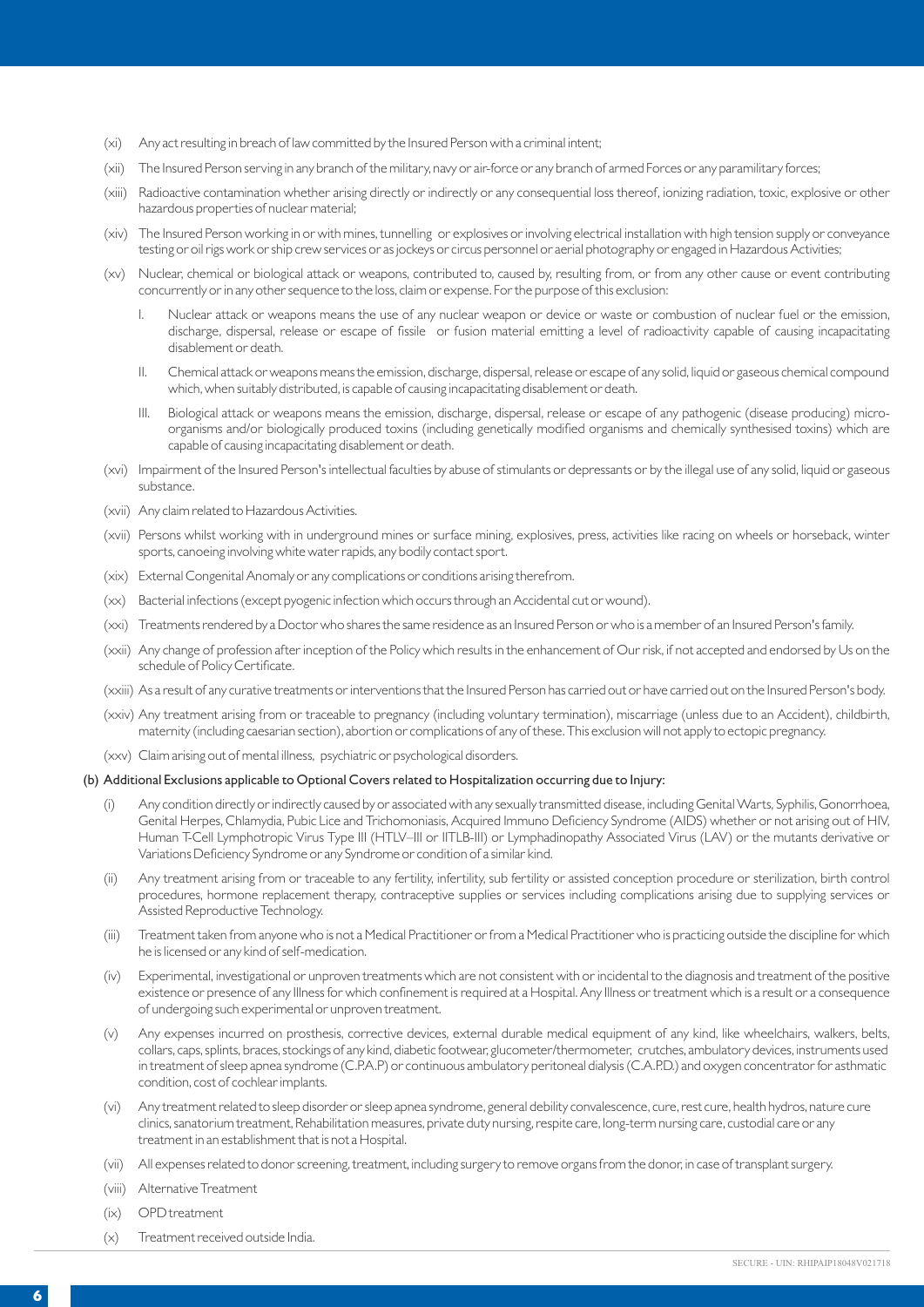- (xi) Any act resulting in breach of law committed by the Insured Person with a criminal intent;
- (xii) The Insured Person serving in any branch of the military, navy or air-force or any branch of armed Forces or any paramilitary forces;
- (xiii) Radioactive contamination whether arising directly or indirectly or any consequential loss thereof, ionizing radiation, toxic, explosive or other hazardous properties of nuclear material;
- (xiv) The Insured Person working in or with mines, tunnelling or explosives or involving electrical installation with high tension supply or conveyance testing or oil rigs work or ship crew services or as jockeys or circus personnel or aerial photography or engaged in Hazardous Activities;
- (xv) Nuclear, chemical or biological attack or weapons, contributed to, caused by, resulting from, or from any other cause or event contributing concurrently or in any other sequence to the loss, claim or expense. For the purpose of this exclusion:
	- I. Nuclear attack or weapons means the use of any nuclear weapon or device or waste or combustion of nuclear fuel or the emission, discharge, dispersal, release or escape of fissile or fusion material emitting a level of radioactivity capable of causing incapacitating disablement or death.
	- II. Chemical attack or weapons means the emission, discharge, dispersal, release or escape of any solid, liquid or gaseous chemical compound which, when suitably distributed, is capable of causing incapacitating disablement or death.
	- III. Biological attack or weapons means the emission, discharge, dispersal, release or escape of any pathogenic (disease producing) microorganisms and/or biologically produced toxins (including genetically modified organisms and chemically synthesised toxins) which are capable of causing incapacitating disablement or death.
- (xvi) Impairment of the Insured Person's intellectual faculties by abuse of stimulants or depressants or by the illegal use of any solid, liquid or gaseous substance.
- (xvii) Any claim related to Hazardous Activities.
- (xvii) Persons whilst working with in underground mines or surface mining, explosives, press, activities like racing on wheels or horseback, winter sports, canoeing involving white water rapids, any bodily contact sport.
- (xix) External Congenital Anomaly or any complications or conditions arising therefrom.
- (xx) Bacterial infections (except pyogenic infection which occurs through an Accidental cut or wound).
- (xxi) Treatments rendered by a Doctor who shares the same residence as an Insured Person or who is a member of an Insured Person's family.
- (xxii) Any change of profession after inception of the Policy which results in the enhancement of Our risk, if not accepted and endorsed by Us on the schedule of Policy Certificate.
- (xxiii) As a result of any curative treatments or interventions that the Insured Person has carried out or have carried out on the Insured Person's body.
- (xxiv) Any treatment arising from or traceable to pregnancy (including voluntary termination), miscarriage (unless due to an Accident), childbirth, maternity (including caesarian section), abortion or complications of any of these. This exclusion will not apply to ectopic pregnancy.
- (xxv) Claim arising out of mental illness, psychiatric or psychological disorders.

# (b) Additional Exclusions applicable to Optional Covers related to Hospitalization occurring due to Injury:

- (i) Any condition directly or indirectly caused by or associated with any sexually transmitted disease, including Genital Warts, Syphilis, Gonorrhoea, Genital Herpes, Chlamydia, Pubic Lice and Trichomoniasis, Acquired Immuno Deficiency Syndrome (AIDS) whether or not arising out of HIV, Human T-Cell Lymphotropic Virus Type III (HTLV–III or IITLB-III) or Lymphadinopathy Associated Virus (LAV) or the mutants derivative or Variations Deficiency Syndrome or any Syndrome or condition of a similar kind.
- (ii) Any treatment arising from or traceable to any fertility, infertility, sub fertility or assisted conception procedure or sterilization, birth control procedures, hormone replacement therapy, contraceptive supplies or services including complications arising due to supplying services or Assisted Reproductive Technology.
- (iii) Treatment taken from anyone who is not a Medical Practitioner or from a Medical Practitioner who is practicing outside the discipline for which he is licensed or any kind of self-medication.
- (iv) Experimental, investigational or unproven treatments which are not consistent with or incidental to the diagnosis and treatment of the positive existence or presence of any Illness for which confinement is required at a Hospital. Any Illness or treatment which is a result or a consequence of undergoing such experimental or unproven treatment.
- (v) Any expenses incurred on prosthesis, corrective devices, external durable medical equipment of any kind, like wheelchairs, walkers, belts, collars, caps, splints, braces, stockings of any kind, diabetic footwear, glucometer/thermometer, crutches, ambulatory devices, instruments used in treatment of sleep apnea syndrome (C.P.A.P) or continuous ambulatory peritoneal dialysis (C.A.P.D.) and oxygen concentrator for asthmatic condition, cost of cochlear implants.
- (vi) Any treatment related to sleep disorder or sleep apnea syndrome, general debility convalescence, cure, rest cure, health hydros, nature cure clinics, sanatorium treatment, Rehabilitation measures, private duty nursing, respite care, long-term nursing care, custodial care or any treatment in an establishment that is not a Hospital.
- (vii) All expenses related to donor screening, treatment, including surgery to remove organs from the donor, in case of transplant surgery.
- (viii) Alternative Treatment
- (ix) OPD treatment
- (x) Treatment received outside India.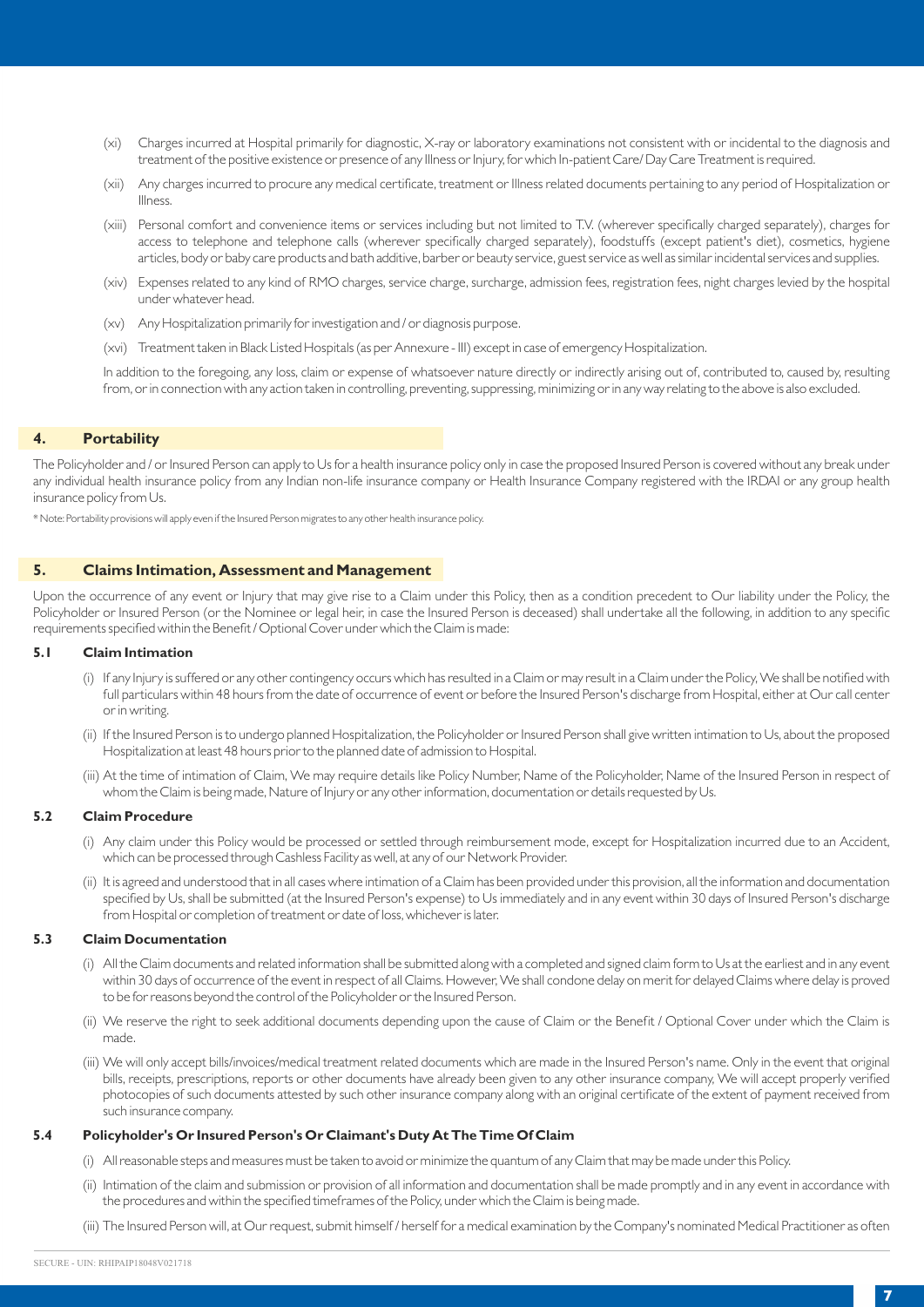- (xi) Charges incurred at Hospital primarily for diagnostic, X-ray or laboratory examinations not consistent with or incidental to the diagnosis and treatment of the positive existence or presence of any Illness or Injury, for which In-patient Care/ Day Care Treatment is required.
- (xii) Any charges incurred to procure any medical certificate, treatment or Illness related documents pertaining to any period of Hospitalization or Illness.
- (xiii) Personal comfort and convenience items or services including but not limited to T.V. (wherever specifically charged separately), charges for access to telephone and telephone calls (wherever specifically charged separately), foodstuffs (except patient's diet), cosmetics, hygiene articles, body or baby care products and bath additive, barber or beauty service, guest service as well as similar incidental services and supplies.
- (xiv) Expenses related to any kind of RMO charges, service charge, surcharge, admission fees, registration fees, night charges levied by the hospital under whatever head.
- (xv) Any Hospitalization primarily for investigation and / or diagnosis purpose.
- (xvi) Treatment taken in Black Listed Hospitals (as per Annexure III) except in case of emergency Hospitalization.

In addition to the foregoing, any loss, claim or expense of whatsoever nature directly or indirectly arising out of, contributed to, caused by, resulting from, or in connection with any action taken in controlling, preventing, suppressing, minimizing or in any way relating to the above is also excluded.

# **4. Portability**

The Policyholder and / or Insured Person can apply to Us for a health insurance policy only in case the proposed Insured Person is covered without any break under any individual health insurance policy from any Indian non-life insurance company or Health Insurance Company registered with the IRDAI or any group health insurance policy from Us.

\* Note: Portability provisions will apply even if the Insured Person migrates to any other health insurance policy.

# **5. Claims Intimation, Assessment and Management**

Upon the occurrence of any event or Injury that may give rise to a Claim under this Policy, then as a condition precedent to Our liability under the Policy, the Policyholder or Insured Person (or the Nominee or legal heir, in case the Insured Person is deceased) shall undertake all the following, in addition to any specific requirements specified within the Benefit / Optional Cover under which the Claim is made:

# **5.1 Claim Intimation**

- (i) If any Injury is suffered or any other contingency occurs which has resulted in a Claim or may result in a Claim under the Policy, We shall be notified with full particulars within 48 hours from the date of occurrence of event or before the Insured Person's discharge from Hospital, either at Our call center or in writing.
- (ii) If the Insured Person is to undergo planned Hospitalization, the Policyholder or Insured Person shall give written intimation to Us, about the proposed Hospitalization at least 48 hours prior to the planned date of admission to Hospital.
- (iii) At the time of intimation of Claim, We may require details like Policy Number, Name of the Policyholder, Name of the Insured Person in respect of whom the Claim is being made, Nature of Injury or any other information, documentation or details requested by Us.

# **5.2 Claim Procedure**

- (i) Any claim under this Policy would be processed or settled through reimbursement mode, except for Hospitalization incurred due to an Accident, which can be processed through Cashless Facility as well, at any of our Network Provider.
- (ii) It is agreed and understood that in all cases where intimation of a Claim has been provided under this provision, all the information and documentation specified by Us, shall be submitted (at the Insured Person's expense) to Us immediately and in any event within 30 days of Insured Person's discharge from Hospital or completion of treatment or date of loss, whichever is later.

#### **5.3 Claim Documentation**

- (i) All the Claim documents and related information shall be submitted along with a completed and signed claim form to Us at the earliest and in any event within 30 days of occurrence of the event in respect of all Claims. However, We shall condone delay on merit for delayed Claims where delay is proved to be for reasons beyond the control of the Policyholder or the Insured Person.
- (ii) We reserve the right to seek additional documents depending upon the cause of Claim or the Benefit / Optional Cover under which the Claim is made.
- (iii) We will only accept bills/invoices/medical treatment related documents which are made in the Insured Person's name. Only in the event that original bills, receipts, prescriptions, reports or other documents have already been given to any other insurance company, We will accept properly verified photocopies of such documents attested by such other insurance company along with an original certificate of the extent of payment received from such insurance company.

#### **5.4 Policyholder's Or Insured Person's Or Claimant's Duty At The Time Of Claim**

- (i) All reasonable steps and measures must be taken to avoid or minimize the quantum of any Claim that may be made under this Policy.
- (ii) Intimation of the claim and submission or provision of all information and documentation shall be made promptly and in any event in accordance with the procedures and within the specified timeframes of the Policy, under which the Claim is being made.
- (iii) The Insured Person will, at Our request, submit himself / herself for a medical examination by the Company's nominated Medical Practitioner as often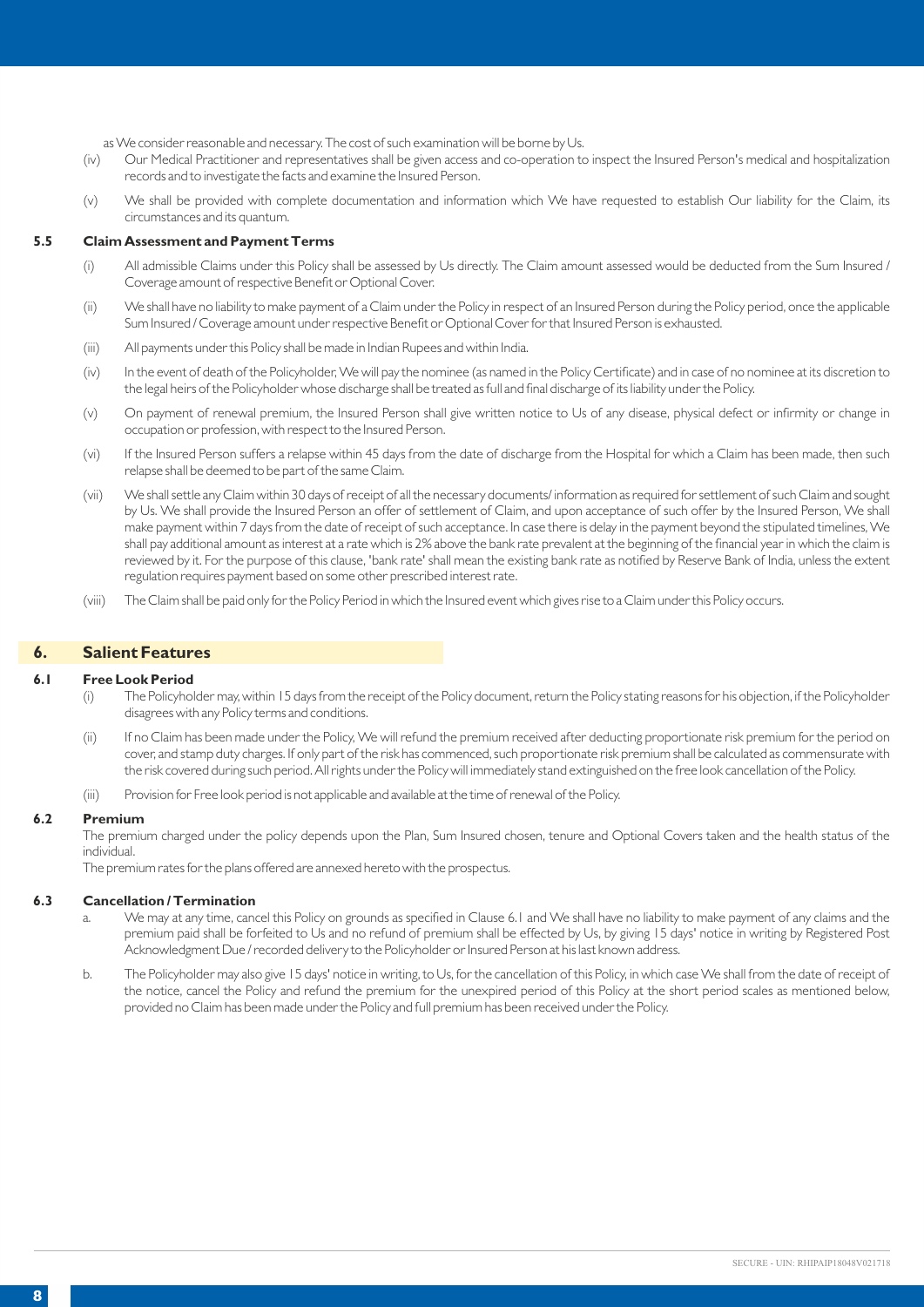as We consider reasonable and necessary. The cost of such examination will be borne by Us.<br>(iv) Our Medical Practitioner and representatives shall be given access and co-operation to

- Our Medical Practitioner and representatives shall be given access and co-operation to inspect the Insured Person's medical and hospitalization records and to investigate the facts and examine the Insured Person.
- (v) We shall be provided with complete documentation and information which We have requested to establish Our liability for the Claim, its circumstances and its quantum.

#### **5.5 Claim Assessment and Payment Terms**

- (i) All admissible Claims under this Policy shall be assessed by Us directly. The Claim amount assessed would be deducted from the Sum Insured / Coverage amount of respective Benefit or Optional Cover.
- (ii) We shall have no liability to make payment of a Claim under the Policy in respect of an Insured Person during the Policy period, once the applicable Sum Insured / Coverage amount under respective Benefit or Optional Cover for that Insured Person is exhausted.
- (iii) All payments under this Policy shall be made in Indian Rupees and within India.
- (iv) In the event of death of the Policyholder, We will pay the nominee (as named in the Policy Certificate) and in case of no nominee at its discretion to the legal heirs of the Policyholder whose discharge shall be treated as full and final discharge of its liability under the Policy.
- (v) On payment of renewal premium, the Insured Person shall give written notice to Us of any disease, physical defect or infirmity or change in occupation or profession, with respect to the Insured Person.
- (vi) If the Insured Person suffers a relapse within 45 days from the date of discharge from the Hospital for which a Claim has been made, then such relapse shall be deemed to be part of the same Claim.
- (vii) We shall settle any Claim within 30 days of receipt of all the necessary documents/ information as required for settlement of such Claim and sought by Us. We shall provide the Insured Person an offer of settlement of Claim, and upon acceptance of such offer by the Insured Person, We shall make payment within 7 days from the date of receipt of such acceptance. In case there is delay in the payment beyond the stipulated timelines, We shall pay additional amount as interest at a rate which is 2% above the bank rate prevalent at the beginning of the financial year in which the claim is reviewed by it. For the purpose of this clause, 'bank rate' shall mean the existing bank rate as notified by Reserve Bank of India, unless the extent regulation requires payment based on some other prescribed interest rate.
- (viii) The Claim shall be paid only for the Policy Period in which the Insured event which gives rise to a Claim under this Policy occurs.

## **6. Salient Features**

#### **6.1 Free Look Period**

- (i) The Policyholder may, within 15 days from the receipt of the Policy document, return the Policy stating reasons for his objection, if the Policyholder disagrees with any Policy terms and conditions.
- (ii) If no Claim has been made under the Policy, We will refund the premium received after deducting proportionate risk premium for the period on cover, and stamp duty charges. If only part of the risk has commenced, such proportionate risk premium shall be calculated as commensurate with the risk covered during such period. All rights under the Policy will immediately stand extinguished on the free look cancellation of the Policy.
- (iii) Provision for Free look period is not applicable and available at the time of renewal of the Policy.

#### **6.2 Premium**

The premium charged under the policy depends upon the Plan, Sum Insured chosen, tenure and Optional Covers taken and the health status of the individual.

The premium rates for the plans offered are annexed hereto with the prospectus.

#### **6.3 Cancellation / Termination**

- a. We may at any time, cancel this Policy on grounds as specified in Clause 6.1 and We shall have no liability to make payment of any claims and the premium paid shall be forfeited to Us and no refund of premium shall be effected by Us, by giving 15 days' notice in writing by Registered Post Acknowledgment Due / recorded delivery to the Policyholder or Insured Person at his last known address.
- b. The Policyholder may also give 15 days' notice in writing, to Us, for the cancellation of this Policy, in which case We shall from the date of receipt of the notice, cancel the Policy and refund the premium for the unexpired period of this Policy at the short period scales as mentioned below, provided no Claim has been made under the Policy and full premium has been received under the Policy.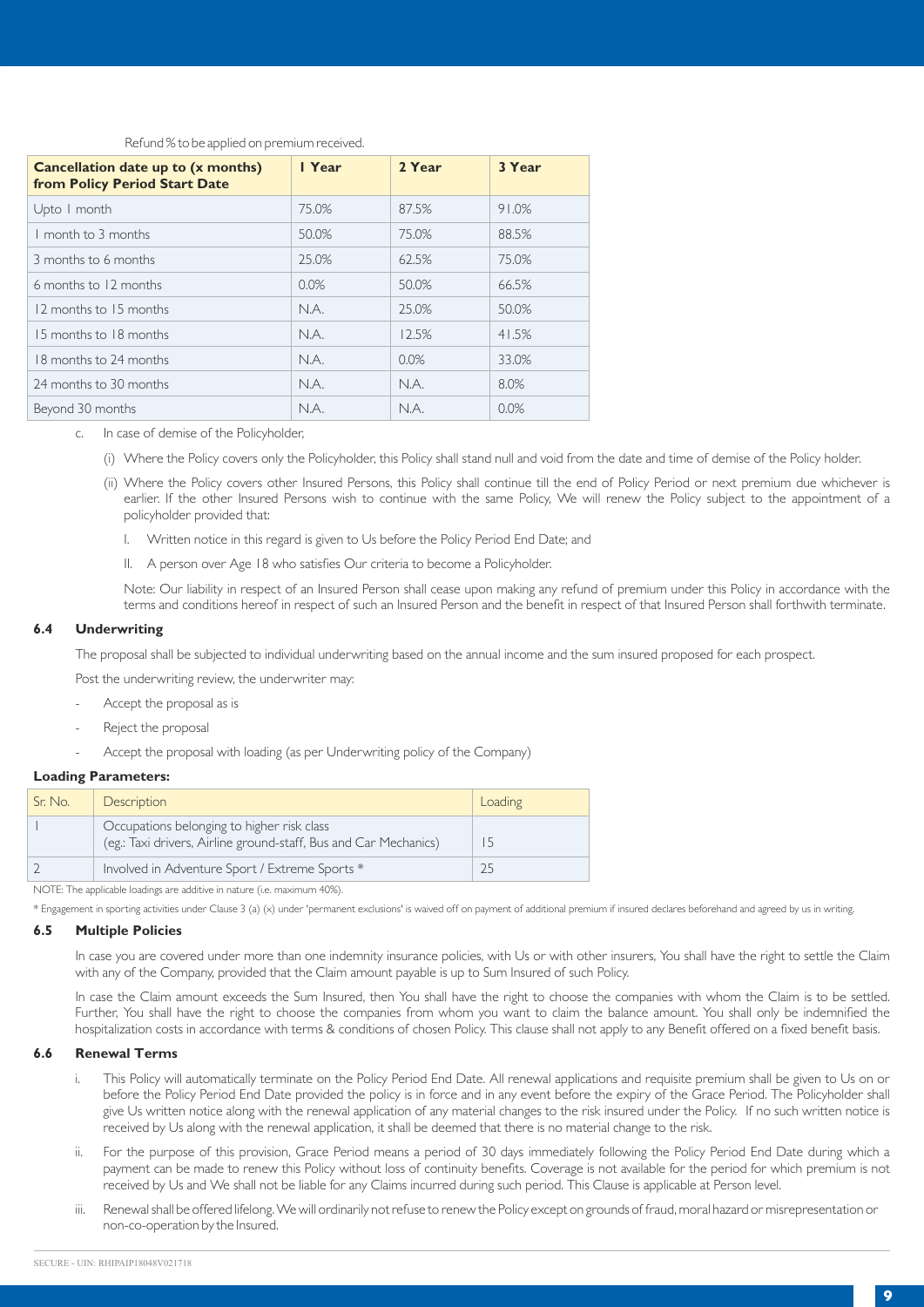# Refund % to be applied on premium received.

| Cancellation date up to (x months)<br>from Policy Period Start Date | I Year | 2 Year | 3 Year |
|---------------------------------------------------------------------|--------|--------|--------|
| Upto I month                                                        | 75.0%  | 87.5%  | 91.0%  |
| I month to 3 months                                                 | 50.0%  | 75.0%  | 88.5%  |
| 3 months to 6 months                                                | 25.0%  | 62.5%  | 75.0%  |
| 6 months to 12 months                                               | 0.0%   | 50.0%  | 66.5%  |
| 12 months to 15 months                                              | N.A.   | 25.0%  | 50.0%  |
| 15 months to 18 months                                              | N.A.   | 12.5%  | 41.5%  |
| 18 months to 24 months                                              | N.A.   | 0.0%   | 33.0%  |
| 24 months to 30 months                                              | N.A.   | N.A.   | 8.0%   |
| Beyond 30 months                                                    | N.A.   | N.A.   | 0.0%   |

- c. In case of demise of the Policyholder,
	- (i) Where the Policy covers only the Policyholder, this Policy shall stand null and void from the date and time of demise of the Policy holder.
	- (ii) Where the Policy covers other Insured Persons, this Policy shall continue till the end of Policy Period or next premium due whichever is earlier. If the other Insured Persons wish to continue with the same Policy, We will renew the Policy subject to the appointment of a policyholder provided that:
		- I. Written notice in this regard is given to Us before the Policy Period End Date; and
		- II. A person over Age 18 who satisfies Our criteria to become a Policyholder.

Note: Our liability in respect of an Insured Person shall cease upon making any refund of premium under this Policy in accordance with the terms and conditions hereof in respect of such an Insured Person and the benefit in respect of that Insured Person shall forthwith terminate.

#### **6.4 Underwriting**

The proposal shall be subjected to individual underwriting based on the annual income and the sum insured proposed for each prospect.

Post the underwriting review, the underwriter may:

- Accept the proposal as is
- Reject the proposal
- Accept the proposal with loading (as per Underwriting policy of the Company)

# **Loading Parameters:**

| Sr. No. | <b>Description</b>                                                                                             | Loading |
|---------|----------------------------------------------------------------------------------------------------------------|---------|
|         | Occupations belonging to higher risk class<br>(eg.: Taxi drivers, Airline ground-staff, Bus and Car Mechanics) |         |
|         | Involved in Adventure Sport / Extreme Sports *                                                                 |         |

NOTE: The applicable loadings are additive in nature (i.e. maximum 40%).

\* Engagement in sporting activities under Clause 3 (a) (x) under 'permanent exclusions' is waived off on payment of additional premium if insured declares beforehand and agreed by us in writing.

# **6.5 Multiple Policies**

In case you are covered under more than one indemnity insurance policies, with Us or with other insurers, You shall have the right to settle the Claim with any of the Company, provided that the Claim amount payable is up to Sum Insured of such Policy.

In case the Claim amount exceeds the Sum Insured, then You shall have the right to choose the companies with whom the Claim is to be settled. Further, You shall have the right to choose the companies from whom you want to claim the balance amount. You shall only be indemnified the hospitalization costs in accordance with terms & conditions of chosen Policy. This clause shall not apply to any Benefit offered on a fixed benefit basis.

#### **6.6 Renewal Terms**

- i. This Policy will automatically terminate on the Policy Period End Date. All renewal applications and requisite premium shall be given to Us on or before the Policy Period End Date provided the policy is in force and in any event before the expiry of the Grace Period. The Policyholder shall give Us written notice along with the renewal application of any material changes to the risk insured under the Policy. If no such written notice is received by Us along with the renewal application, it shall be deemed that there is no material change to the risk.
- ii. For the purpose of this provision, Grace Period means a period of 30 days immediately following the Policy Period End Date during which a payment can be made to renew this Policy without loss of continuity benefits. Coverage is not available for the period for which premium is not received by Us and We shall not be liable for any Claims incurred during such period. This Clause is applicable at Person level.
- iii. Renewal shall be offered lifelong. We will ordinarily not refuse to renew the Policy except on grounds of fraud, moral hazard or misrepresentation or non-co-operation by the Insured.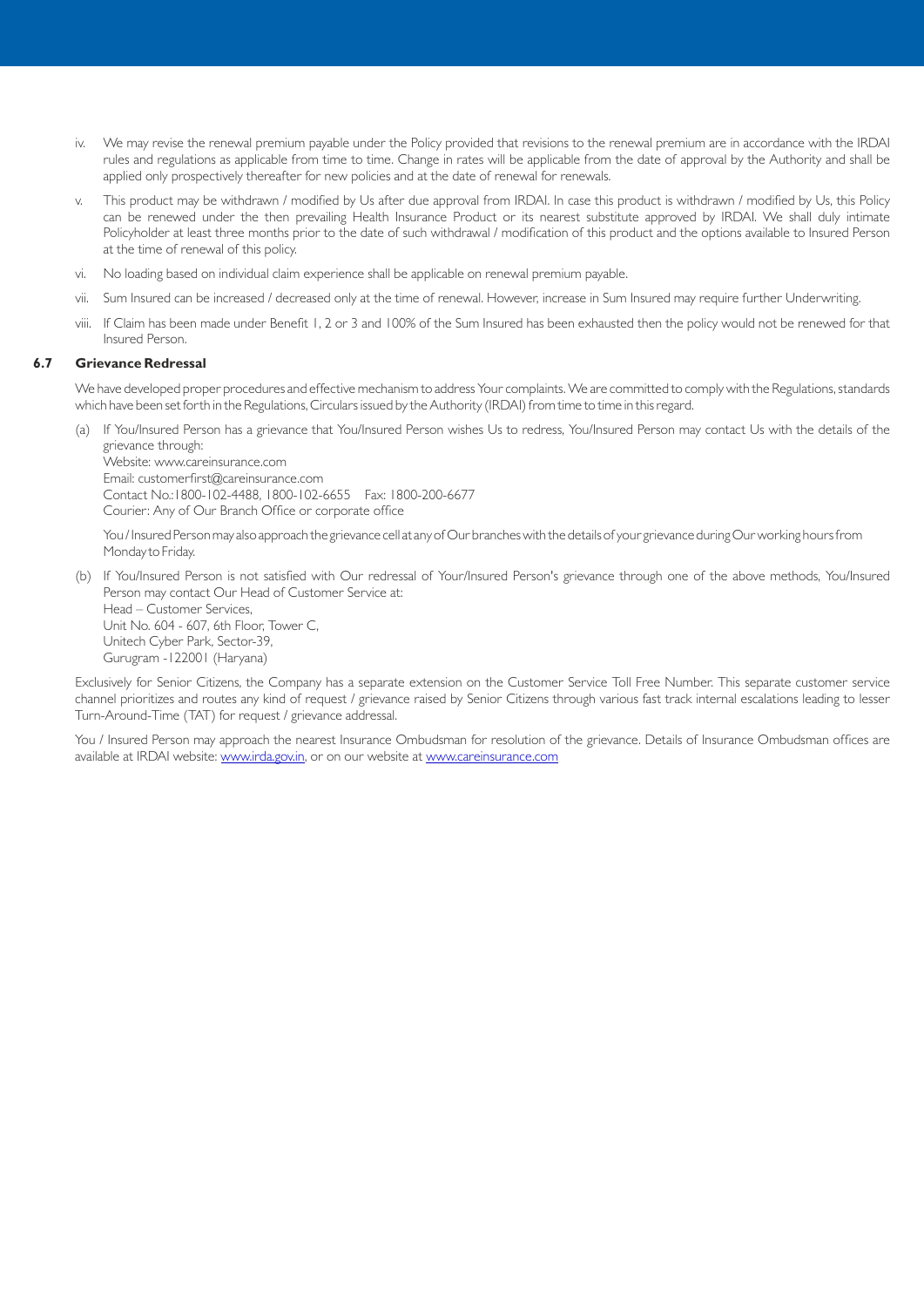- We may revise the renewal premium payable under the Policy provided that revisions to the renewal premium are in accordance with the IRDAI rules and regulations as applicable from time to time. Change in rates will be applicable from the date of approval by the Authority and shall be applied only prospectively thereafter for new policies and at the date of renewal for renewals.
- v. This product may be withdrawn / modified by Us after due approval from IRDAI. In case this product is withdrawn / modified by Us, this Policy can be renewed under the then prevailing Health Insurance Product or its nearest substitute approved by IRDAI. We shall duly intimate Policyholder at least three months prior to the date of such withdrawal / modification of this product and the options available to Insured Person at the time of renewal of this policy.
- vi. No loading based on individual claim experience shall be applicable on renewal premium payable.
- vii. Sum Insured can be increased / decreased only at the time of renewal. However, increase in Sum Insured may require further Underwriting.
- viii. If Claim has been made under Benefit 1, 2 or 3 and 100% of the Sum Insured has been exhausted then the policy would not be renewed for that Insured Person.

# **6.7 Grievance Redressal**

We have developed proper procedures and effective mechanism to address Your complaints. We are committed to comply with the Regulations, standards which have been set forth in the Regulations, Circulars issued by the Authority (IRDAI) from time to time in this regard.

(a) If You/Insured Person has a grievance that You/Insured Person wishes Us to redress, You/Insured Person may contact Us with the details of the grievance through:

Website: www.careinsurance.com Email: customerfirst@careinsurance.com Contact No.:1800-102-4488, 1800-102-6655 Fax: 1800-200-6677 Courier: Any of Our Branch Office or corporate office

You / Insured Person may also approach the grievance cell at any of Our branches with the details of your grievance during Our working hours from Monday to Friday.

(b) If You/Insured Person is not satisfied with Our redressal of Your/Insured Person's grievance through one of the above methods, You/Insured Person may contact Our Head of Customer Service at: Head – Customer Services,

Unit No. 604 - 607, 6th Floor, Tower C, Unitech Cyber Park, Sector-39, Gurugram -122001 (Haryana)

Exclusively for Senior Citizens, the Company has a separate extension on the Customer Service Toll Free Number. This separate customer service channel prioritizes and routes any kind of request / grievance raised by Senior Citizens through various fast track internal escalations leading to lesser Turn-Around-Time (TAT) for request / grievance addressal.

You / Insured Person may approach the nearest Insurance Ombudsman for resolution of the grievance. Details of Insurance Ombudsman offices are available at IRDAI website: www.irda.gov.in, or on our website at www.careinsurance.com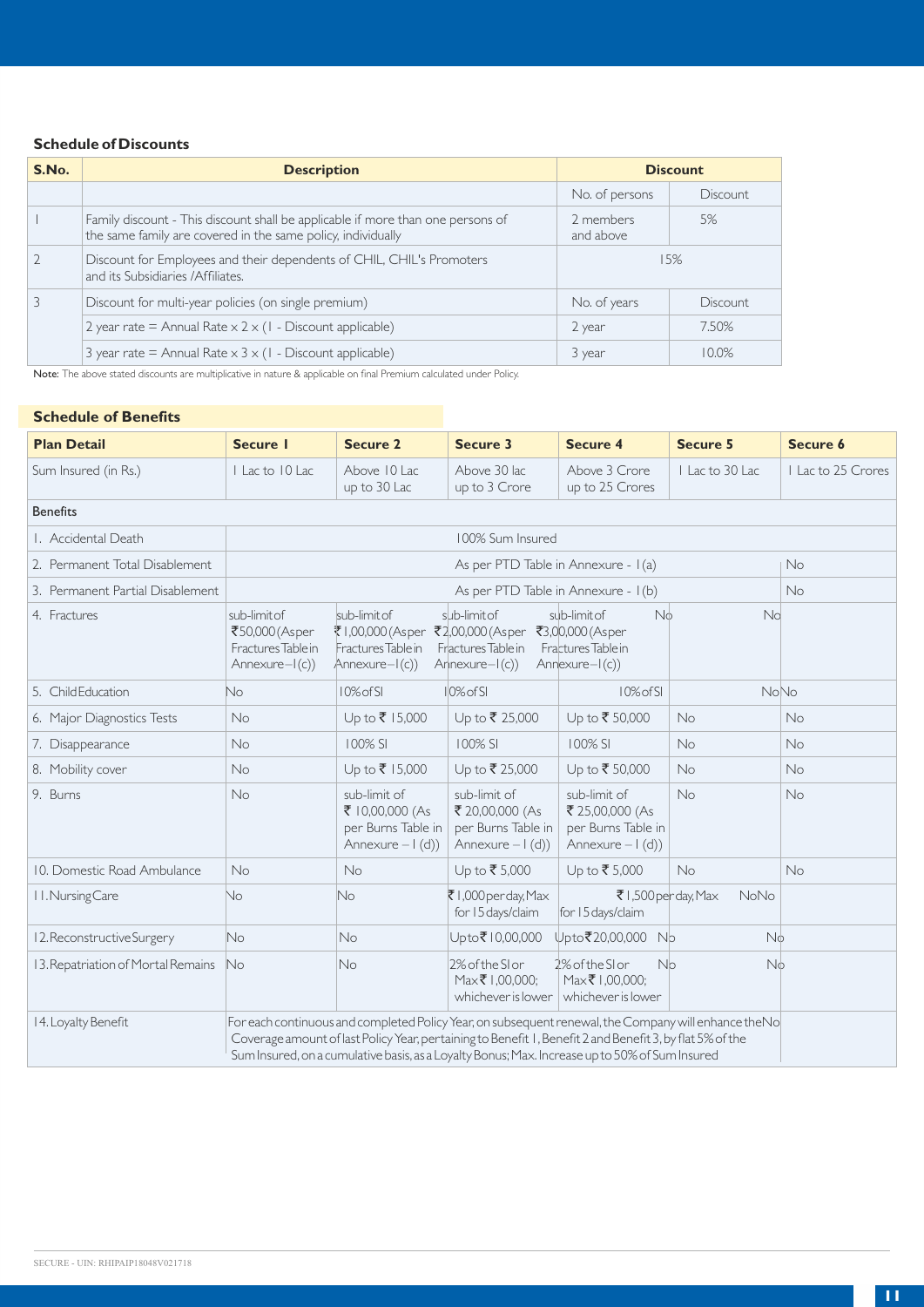# **Schedule of Discounts**

| S.No.          | <b>Description</b>                                                                                                                              | <b>Discount</b>        |          |  |
|----------------|-------------------------------------------------------------------------------------------------------------------------------------------------|------------------------|----------|--|
|                |                                                                                                                                                 | No. of persons         | Discount |  |
|                | Family discount - This discount shall be applicable if more than one persons of<br>the same family are covered in the same policy, individually | 2 members<br>and above | 5%       |  |
| $\overline{2}$ | Discount for Employees and their dependents of CHIL, CHIL's Promoters<br>and its Subsidiaries / Affiliates.                                     |                        | 15%      |  |
| 3              | Discount for multi-year policies (on single premium)                                                                                            | No. of years           | Discount |  |
|                | 2 year rate = Annual Rate $\times$ 2 $\times$ (1 - Discount applicable)                                                                         | 2 year                 | 7.50%    |  |
|                | 3 year rate = Annual Rate $\times$ 3 $\times$ (1 - Discount applicable)                                                                         | 3 year                 | 10.0%    |  |

Note: The above stated discounts are multiplicative in nature & applicable on final Premium calculated under Policy.

# **Schedule of Benefits Schedule of Benefits**

| <b>Plan Detail</b>                 | <b>Secure I</b>                                                            | <b>Secure 2</b>                                                                                                                                                                                                                                                                                                     | Secure 3                                                                    | <b>Secure 4</b>                                                                              | <b>Secure 5</b> | Secure 6         |
|------------------------------------|----------------------------------------------------------------------------|---------------------------------------------------------------------------------------------------------------------------------------------------------------------------------------------------------------------------------------------------------------------------------------------------------------------|-----------------------------------------------------------------------------|----------------------------------------------------------------------------------------------|-----------------|------------------|
| Sum Insured (in Rs.)               | Lac to 10 Lac                                                              | Above 10 Lac<br>up to 30 Lac                                                                                                                                                                                                                                                                                        | Above 30 lac<br>up to 3 Crore                                               | Above 3 Crore<br>up to 25 Crores                                                             | I Lac to 30 Lac | Lac to 25 Crores |
| <b>Benefits</b>                    |                                                                            |                                                                                                                                                                                                                                                                                                                     |                                                                             |                                                                                              |                 |                  |
| I. Accidental Death                |                                                                            |                                                                                                                                                                                                                                                                                                                     | 100% Sum Insured                                                            |                                                                                              |                 |                  |
| 2. Permanent Total Disablement     |                                                                            |                                                                                                                                                                                                                                                                                                                     |                                                                             | As per PTD Table in Annexure - I(a)                                                          |                 | <b>No</b>        |
| 3. Permanent Partial Disablement   |                                                                            |                                                                                                                                                                                                                                                                                                                     |                                                                             | As per PTD Table in Annexure - I(b)                                                          |                 | No               |
| 4. Fractures                       | sub-limit of<br>₹50,000 (Asper<br>Fractures Table in<br>Annexure $-I(c)$ ) | sub-limit of<br>₹1,00,000 (Asper<br>Fractures Table in<br>Annexure-I(c))                                                                                                                                                                                                                                            | sub-limit of<br>₹2,00,000 (Asper<br>Fractures Table in<br>$Arnexure-I(c)$   | sub-limit of<br>N <sub>0</sub><br>₹3,00,000 (Asper<br>Fractures Table in<br>$Annexure-I(c))$ | No              |                  |
| 5. Child Education                 | No.                                                                        | 10% of SI                                                                                                                                                                                                                                                                                                           | $10%$ of SI                                                                 | 10% of SI                                                                                    | <b>NoNo</b>     |                  |
| 6. Major Diagnostics Tests         | <b>No</b>                                                                  | Up to ₹ 15,000                                                                                                                                                                                                                                                                                                      | Up to ₹ 25,000                                                              | Up to ₹50,000                                                                                | No              | No               |
| 7. Disappearance                   | <b>No</b>                                                                  | 100% SI                                                                                                                                                                                                                                                                                                             | 100% SI                                                                     | 100% SI                                                                                      | No              | No               |
| 8. Mobility cover                  | <b>No</b>                                                                  | Up to ₹ 15,000                                                                                                                                                                                                                                                                                                      | Up to ₹ 25,000                                                              | Up to ₹ 50,000                                                                               | No              | No               |
| 9. Burns                           | No                                                                         | sub-limit of<br>₹ 10,00,000 (As<br>per Burns Table in<br>Annexure $-1$ (d))                                                                                                                                                                                                                                         | sub-limit of<br>₹ 20,00,000 (As<br>per Burns Table in<br>Annexure $-1$ (d)) | sub-limit of<br>₹ 25,00,000 (As<br>per Burns Table in<br>Annexure $-1$ (d))                  | No              | No               |
| 10. Domestic Road Ambulance        | <b>No</b>                                                                  | No                                                                                                                                                                                                                                                                                                                  | Up to ₹5,000                                                                | Up to ₹ 5,000                                                                                | No              | No               |
| 11. Nursing Care                   | No                                                                         | No.                                                                                                                                                                                                                                                                                                                 | ₹1,000 per day, Max<br>for 15 days/claim                                    | ₹1,500 per day, Max<br>for 15 days/claim                                                     | NoNo            |                  |
| 12. Reconstructive Surgery         | No.                                                                        | No                                                                                                                                                                                                                                                                                                                  | Upto₹10,00,000                                                              | Upto₹20,00,000 No                                                                            | Nó.             |                  |
| 13. Repatriation of Mortal Remains | No                                                                         | No                                                                                                                                                                                                                                                                                                                  | 2% of the Sl or<br>Max₹1,00,000:<br>whichever is lower                      | 2% of the Sl or<br><b>Nb</b><br>Max₹1,00,000:<br>whichever is lower                          | N6              |                  |
| 14. Loyalty Benefit                |                                                                            | For each continuous and completed Policy Year, on subsequent renewal, the Company will enhance the No<br>Coverage amount of last Policy Year, pertaining to Benefit 1, Benefit 2 and Benefit 3, by flat 5% of the<br>Sum Insured, on a cumulative basis, as a Loyalty Bonus; Max. Increase up to 50% of Sum Insured |                                                                             |                                                                                              |                 |                  |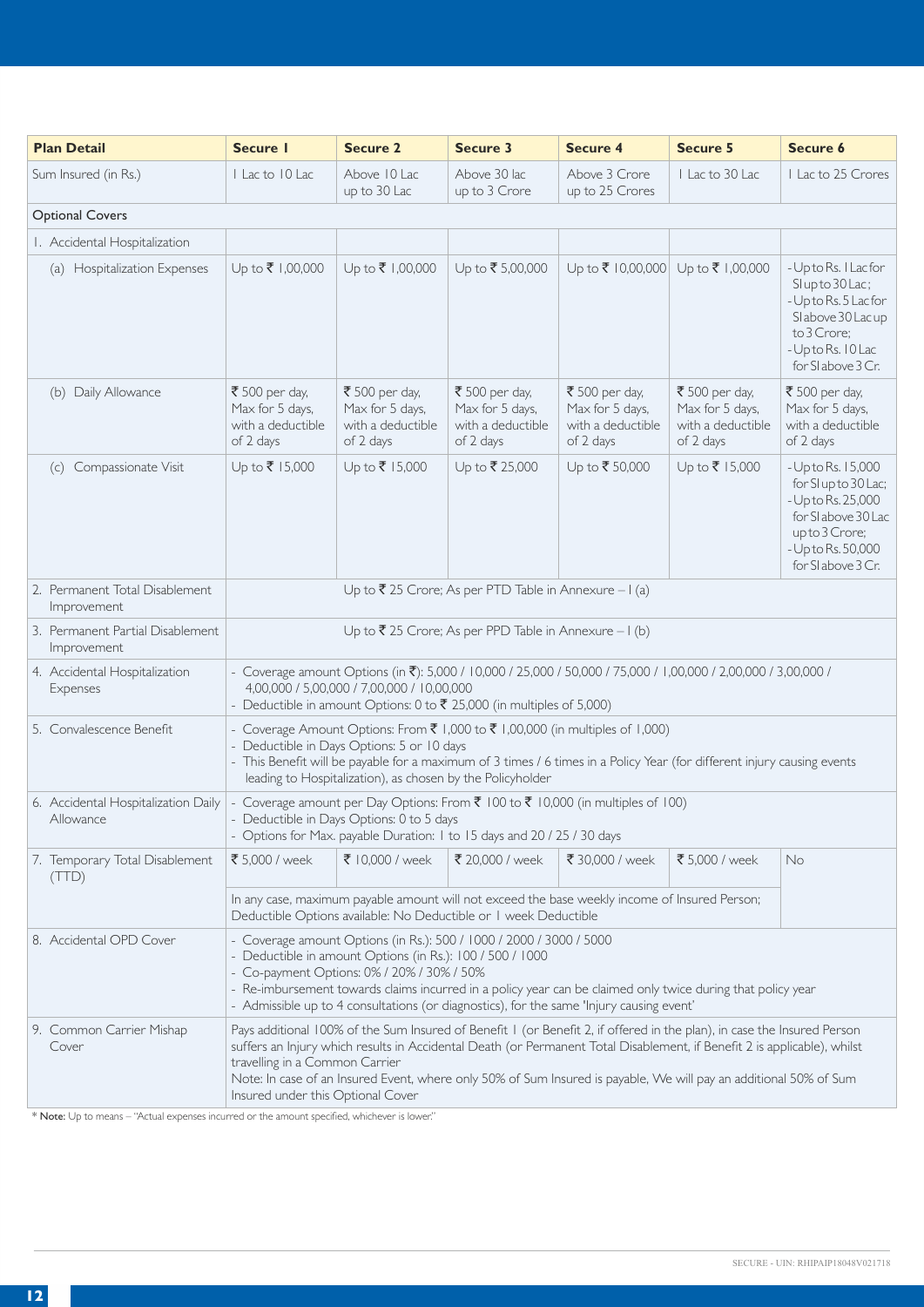| <b>Plan Detail</b>                               | Secure I                                                            | <b>Secure 2</b>                                                                                                                                                                                                                                                                                                                                                                                                                                 | Secure 3                                                            | <b>Secure 4</b>                                                     | <b>Secure 5</b>                                                     | Secure 6                                                                                                                                            |  |
|--------------------------------------------------|---------------------------------------------------------------------|-------------------------------------------------------------------------------------------------------------------------------------------------------------------------------------------------------------------------------------------------------------------------------------------------------------------------------------------------------------------------------------------------------------------------------------------------|---------------------------------------------------------------------|---------------------------------------------------------------------|---------------------------------------------------------------------|-----------------------------------------------------------------------------------------------------------------------------------------------------|--|
| Sum Insured (in Rs.)                             | I Lac to 10 Lac                                                     | Above 10 Lac<br>up to 30 Lac                                                                                                                                                                                                                                                                                                                                                                                                                    | Above 30 lac<br>up to 3 Crore                                       | Above 3 Crore<br>up to 25 Crores                                    | Lacto 30 Lac                                                        | I Lac to 25 Crores                                                                                                                                  |  |
| <b>Optional Covers</b>                           |                                                                     |                                                                                                                                                                                                                                                                                                                                                                                                                                                 |                                                                     |                                                                     |                                                                     |                                                                                                                                                     |  |
| I. Accidental Hospitalization                    |                                                                     |                                                                                                                                                                                                                                                                                                                                                                                                                                                 |                                                                     |                                                                     |                                                                     |                                                                                                                                                     |  |
| (a) Hospitalization Expenses                     | Up to ₹ 1,00,000                                                    | Up to ₹ 1,00,000                                                                                                                                                                                                                                                                                                                                                                                                                                | Up to ₹5,00,000                                                     | Up to ₹ 10,00,000 Up to ₹ 1,00,000                                  |                                                                     | - Up to Rs. I Lac for<br>Slupto 30 Lac;<br>- Up to Rs. 5 Lac for<br>Slabove 30 Lacup<br>to 3 Crore;<br>- Up to Rs. 10 Lac<br>for SI above 3 Cr.     |  |
| (b) Daily Allowance                              | ₹ 500 per day,<br>Max for 5 days,<br>with a deductible<br>of 2 days | ₹ 500 per day,<br>Max for 5 days,<br>with a deductible<br>of 2 days                                                                                                                                                                                                                                                                                                                                                                             | ₹ 500 per day,<br>Max for 5 days,<br>with a deductible<br>of 2 days | ₹ 500 per day,<br>Max for 5 days,<br>with a deductible<br>of 2 days | ₹ 500 per day,<br>Max for 5 days,<br>with a deductible<br>of 2 days | ₹ 500 per day,<br>Max for 5 days,<br>with a deductible<br>of 2 days                                                                                 |  |
| Compassionate Visit<br>(c)                       | Up to ₹ 15,000                                                      | Up to ₹ 15,000                                                                                                                                                                                                                                                                                                                                                                                                                                  | Up to ₹ 25,000                                                      | Up to ₹50,000                                                       | Up to ₹ 15,000                                                      | - Up to Rs. 15,000<br>for SI up to 30 Lac;<br>- Up to Rs. 25,000<br>for Slabove 30 Lac<br>upto 3 Crore;<br>- Up to Rs. 50,000<br>for SI above 3 Cr. |  |
| 2. Permanent Total Disablement<br>Improvement    |                                                                     |                                                                                                                                                                                                                                                                                                                                                                                                                                                 | Up to ₹ 25 Crore; As per PTD Table in Annexure - I (a)              |                                                                     |                                                                     |                                                                                                                                                     |  |
| 3. Permanent Partial Disablement<br>Improvement  |                                                                     |                                                                                                                                                                                                                                                                                                                                                                                                                                                 | Up to ₹ 25 Crore; As per PPD Table in Annexure - $I$ (b)            |                                                                     |                                                                     |                                                                                                                                                     |  |
| 4. Accidental Hospitalization<br>Expenses        |                                                                     | - Coverage amount Options (in ₹): 5,000 / 10,000 / 25,000 / 50,000 / 75,000 / 1,00,000 / 2,00,000 / 3,00,000 /<br>4,00,000 / 5,00,000 / 7,00,000 / 10,00,000<br>- Deductible in amount Options: 0 to ₹ 25,000 (in multiples of 5,000)                                                                                                                                                                                                           |                                                                     |                                                                     |                                                                     |                                                                                                                                                     |  |
| 5. Convalescence Benefit                         |                                                                     | - Coverage Amount Options: From ₹ 1,000 to ₹ 1,00,000 (in multiples of 1,000)<br>- Deductible in Days Options: 5 or 10 days<br>- This Benefit will be payable for a maximum of 3 times / 6 times in a Policy Year (for different injury causing events<br>leading to Hospitalization), as chosen by the Policyholder                                                                                                                            |                                                                     |                                                                     |                                                                     |                                                                                                                                                     |  |
| 6. Accidental Hospitalization Daily<br>Allowance |                                                                     | - Coverage amount per Day Options: From $\bar{\tau}$ 100 to $\bar{\tau}$ 10,000 (in multiples of 100)<br>- Deductible in Days Options: 0 to 5 days<br>- Options for Max. payable Duration: I to 15 days and 20 / 25 / 30 days                                                                                                                                                                                                                   |                                                                     |                                                                     |                                                                     |                                                                                                                                                     |  |
| 7. Temporary Total Disablement<br>(TTD)          | ₹ 5,000 / week                                                      | ₹ 10,000 / week                                                                                                                                                                                                                                                                                                                                                                                                                                 | ₹ 20,000 / week                                                     | ₹ 30,000 / week                                                     | ₹ 5,000 / week                                                      | <b>No</b>                                                                                                                                           |  |
|                                                  |                                                                     | In any case, maximum payable amount will not exceed the base weekly income of Insured Person;<br>Deductible Options available: No Deductible or I week Deductible                                                                                                                                                                                                                                                                               |                                                                     |                                                                     |                                                                     |                                                                                                                                                     |  |
| 8. Accidental OPD Cover                          |                                                                     | - Coverage amount Options (in Rs.): 500 / 1000 / 2000 / 3000 / 5000<br>- Deductible in amount Options (in Rs.): 100 / 500 / 1000<br>- Co-payment Options: 0% / 20% / 30% / 50%<br>- Re-imbursement towards claims incurred in a policy year can be claimed only twice during that policy year<br>- Admissible up to 4 consultations (or diagnostics), for the same 'Injury causing event'                                                       |                                                                     |                                                                     |                                                                     |                                                                                                                                                     |  |
| 9. Common Carrier Mishap<br>Cover                |                                                                     | Pays additional 100% of the Sum Insured of Benefit 1 (or Benefit 2, if offered in the plan), in case the Insured Person<br>suffers an Injury which results in Accidental Death (or Permanent Total Disablement, if Benefit 2 is applicable), whilst<br>travelling in a Common Carrier<br>Note: In case of an Insured Event, where only 50% of Sum Insured is payable, We will pay an additional 50% of Sum<br>Insured under this Optional Cover |                                                                     |                                                                     |                                                                     |                                                                                                                                                     |  |

\* Note: Up to means – "Actual expenses incurred or the amount specified, whichever is lower."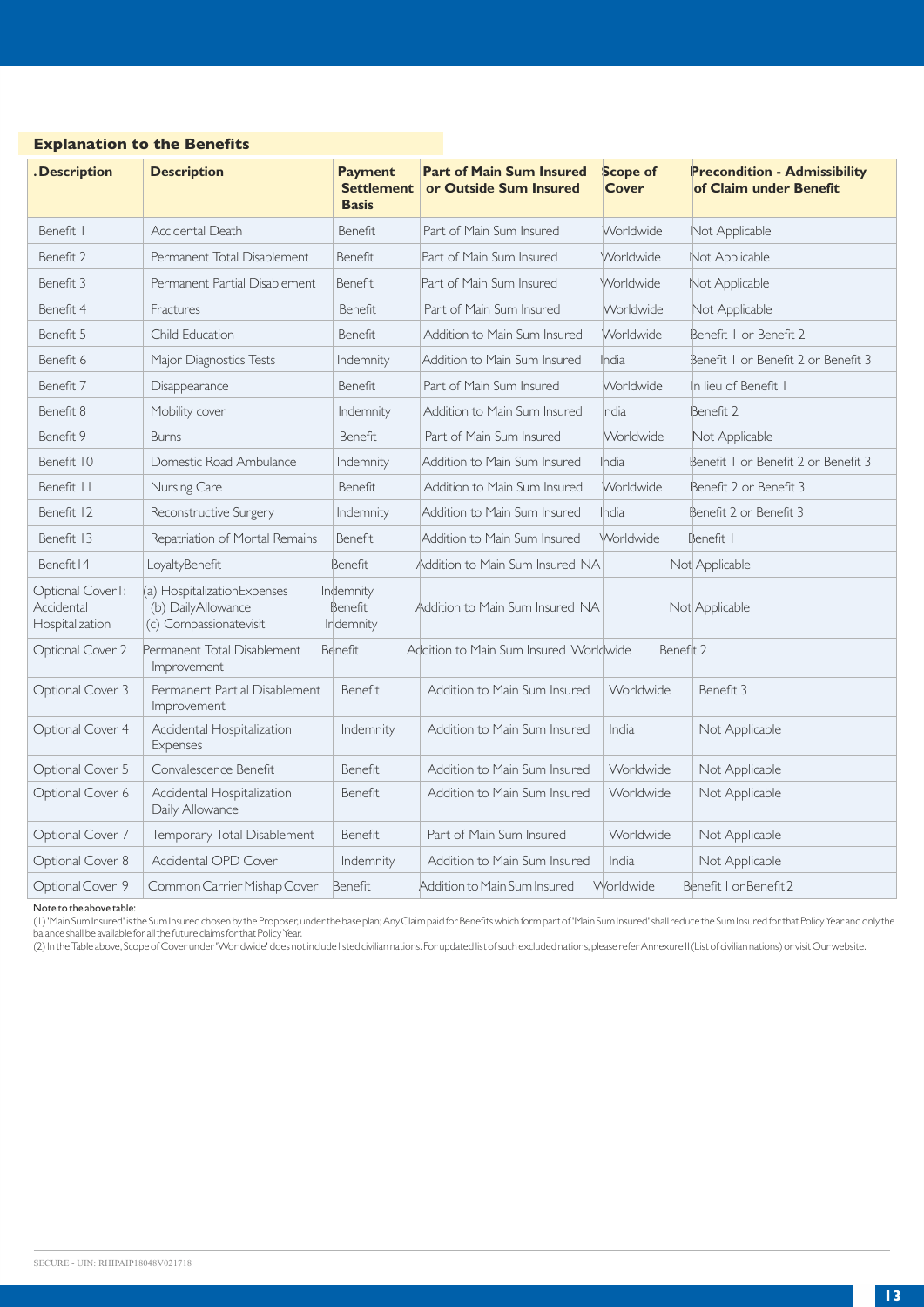| . Description                                      | <b>Description</b>                                                          | <b>Payment</b><br><b>Settlement</b><br><b>Basis</b> | <b>Part of Main Sum Insured</b><br>or Outside Sum Insured | <b>Scope of</b><br><b>Cover</b> | <b>Precondition - Admissibility</b><br>of Claim under Benefit |
|----------------------------------------------------|-----------------------------------------------------------------------------|-----------------------------------------------------|-----------------------------------------------------------|---------------------------------|---------------------------------------------------------------|
| Benefit. I                                         | Accidental Death                                                            | Benefit                                             | Part of Main Sum Insured                                  | Worldwide                       | Not Applicable                                                |
| Benefit 2                                          | Permanent Total Disablement                                                 | Benefit                                             | Part of Main Sum Insured                                  | Worldwide                       | Not Applicable                                                |
| Benefit 3                                          | Permanent Partial Disablement                                               | Benefit                                             | Part of Main Sum Insured                                  | Worldwide                       | Not Applicable                                                |
| Benefit 4                                          | Fractures                                                                   | Benefit                                             | Part of Main Sum Insured                                  | Worldwide                       | Not Applicable                                                |
| Benefit 5                                          | Child Education                                                             | Benefit                                             | Addition to Main Sum Insured                              | Worldwide                       | Benefit I or Benefit 2                                        |
| Benefit 6                                          | Major Diagnostics Tests                                                     | Indemnity                                           | Addition to Main Sum Insured                              | India                           | Benefit I or Benefit 2 or Benefit 3                           |
| Benefit 7                                          | Disappearance                                                               | Benefit                                             | Part of Main Sum Insured                                  | Worldwide                       | In lieu of Benefit I                                          |
| Benefit 8                                          | Mobility cover                                                              | Indemnity                                           | Addition to Main Sum Insured                              | India                           | Benefit 2                                                     |
| Benefit 9                                          | <b>Burns</b>                                                                | Benefit                                             | Part of Main Sum Insured                                  | Worldwide                       | Not Applicable                                                |
| Benefit 10                                         | Domestic Road Ambulance                                                     | Indemnity                                           | Addition to Main Sum Insured                              | India                           | Benefit I or Benefit 2 or Benefit 3                           |
| Benefit                                            | Nursing Care                                                                | Benefit                                             | Addition to Main Sum Insured                              | Worldwide                       | Benefit 2 or Benefit 3                                        |
| Benefit 12                                         | Reconstructive Surgery                                                      | Indemnity                                           | Addition to Main Sum Insured                              | India                           | Benefit 2 or Benefit 3                                        |
| Benefit 13                                         | Repatriation of Mortal Remains                                              | Benefit                                             | Addition to Main Sum Insured                              | Worldwide                       | Benefit I                                                     |
| Benefit   4                                        | LoyaltyBenefit                                                              | Benefit                                             | Addition to Main Sum Insured NA                           |                                 | Not Applicable                                                |
| Optional Cover I:<br>Accidental<br>Hospitalization | (a) HospitalizationExpenses<br>(b) DailyAllowance<br>(c) Compassionatevisit | Indemnity<br>Benefit<br>Indemnity                   | Addition to Main Sum Insured NA                           |                                 | Not Applicable                                                |
| Optional Cover 2                                   | Permanent Total Disablement<br>Improvement                                  | Benefit                                             | Addition to Main Sum Insured Worldwide                    | Benefit 2                       |                                                               |
| Optional Cover 3                                   | Permanent Partial Disablement<br>Improvement                                | Benefit                                             | Addition to Main Sum Insured                              | Worldwide                       | Benefit 3                                                     |
| Optional Cover 4                                   | Accidental Hospitalization<br>Expenses                                      | Indemnity                                           | Addition to Main Sum Insured                              | India                           | Not Applicable                                                |
| Optional Cover 5                                   | Convalescence Benefit                                                       | Benefit                                             | Addition to Main Sum Insured                              | Worldwide                       | Not Applicable                                                |
| Optional Cover 6                                   | Accidental Hospitalization<br>Daily Allowance                               | Benefit                                             | Addition to Main Sum Insured                              | Worldwide                       | Not Applicable                                                |
| Optional Cover 7                                   | Temporary Total Disablement                                                 | Benefit                                             | Part of Main Sum Insured                                  | Worldwide                       | Not Applicable                                                |
| Optional Cover 8                                   | Accidental OPD Cover                                                        | Indemnity                                           | Addition to Main Sum Insured                              | India                           | Not Applicable                                                |
| Optional Cover 9                                   | Common Carrier Mishap Cover                                                 | Benefit                                             | Addition to Main Sum Insured                              | Worldwide                       | Benefit I or Benefit 2                                        |

# **Explanation to the Benefits**

Note to the above table:

(1) 'Main Sum Insured' is the Sum Insured chosen by the Proposer, under the base plan; Any Claim paid for Benefits which form part of 'Main Sum Insured' shall reduce the Sum Insured for that Policy Year and only the balance shall be available for all the future claims for that Policy Year.

(2) In the Table above, Scope of Cover under 'Worldwide' does not include listed civilian nations. For updated list of such excluded nations, please refer Annexure II (List of civilian nations) or visit Our website.